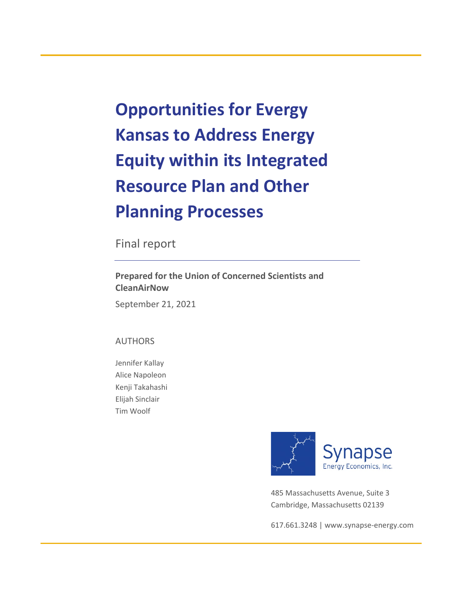**Opportunities for Evergy Kansas to Address Energy Equity within its Integrated Resource Plan and Other Planning Processes**

Final report

**Prepared for the Union of Concerned Scientists and CleanAirNow**

September 21, 2021

## AUTHORS

Jennifer Kallay Alice Napoleon Kenji Takahashi Elijah Sinclair Tim Woolf



485 Massachusetts Avenue, Suite 3 Cambridge, Massachusetts 02139

617.661.3248 | [www.synapse-energy.com](http://www.synapse-energy.com/)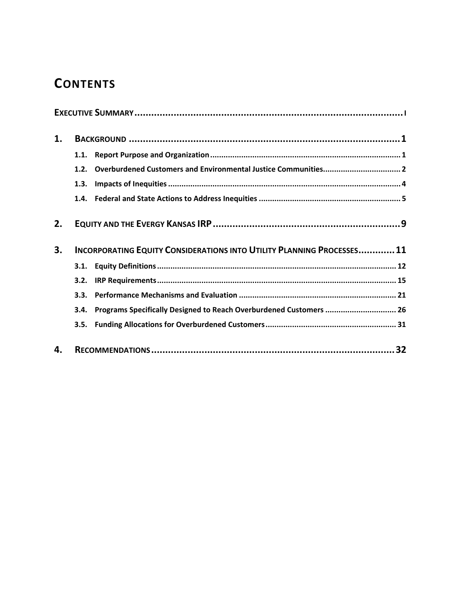# **CONTENTS**

| 1. |                                                                              |                                                                    |  |  |  |  |  |  |
|----|------------------------------------------------------------------------------|--------------------------------------------------------------------|--|--|--|--|--|--|
|    | 1.1.                                                                         |                                                                    |  |  |  |  |  |  |
|    | 1.2.                                                                         |                                                                    |  |  |  |  |  |  |
|    | 1.3.                                                                         |                                                                    |  |  |  |  |  |  |
|    |                                                                              |                                                                    |  |  |  |  |  |  |
| 2. |                                                                              |                                                                    |  |  |  |  |  |  |
| 3. | <b>INCORPORATING EQUITY CONSIDERATIONS INTO UTILITY PLANNING PROCESSES11</b> |                                                                    |  |  |  |  |  |  |
|    |                                                                              |                                                                    |  |  |  |  |  |  |
|    | 3.2.                                                                         |                                                                    |  |  |  |  |  |  |
|    | 3.3.                                                                         |                                                                    |  |  |  |  |  |  |
|    | 3.4.                                                                         | Programs Specifically Designed to Reach Overburdened Customers  26 |  |  |  |  |  |  |
|    | 3.5.                                                                         |                                                                    |  |  |  |  |  |  |
| 4. |                                                                              | 32                                                                 |  |  |  |  |  |  |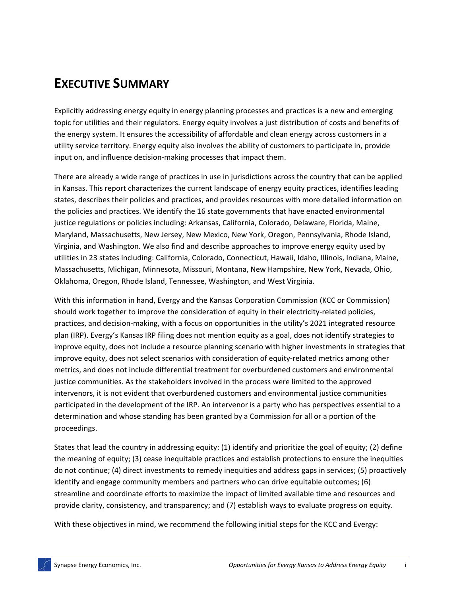# **EXECUTIVE SUMMARY**

Explicitly addressing energy equity in energy planning processes and practices is a new and emerging topic for utilities and their regulators. Energy equity involves a just distribution of costs and benefits of the energy system. It ensures the accessibility of affordable and clean energy across customers in a utility service territory. Energy equity also involves the ability of customers to participate in, provide input on, and influence decision-making processes that impact them.

There are already a wide range of practices in use in jurisdictions across the country that can be applied in Kansas. This report characterizes the current landscape of energy equity practices, identifies leading states, describes their policies and practices, and provides resources with more detailed information on the policies and practices. We identify the 16 state governments that have enacted environmental justice regulations or policies including: Arkansas, California, Colorado, Delaware, Florida, Maine, Maryland, Massachusetts, New Jersey, New Mexico, New York, Oregon, Pennsylvania, Rhode Island, Virginia, and Washington. We also find and describe approaches to improve energy equity used by utilities in 23 states including: California, Colorado, Connecticut, Hawaii, Idaho, Illinois, Indiana, Maine, Massachusetts, Michigan, Minnesota, Missouri, Montana, New Hampshire, New York, Nevada, Ohio, Oklahoma, Oregon, Rhode Island, Tennessee, Washington, and West Virginia.

With this information in hand, Evergy and the Kansas Corporation Commission (KCC or Commission) should work together to improve the consideration of equity in their electricity-related policies, practices, and decision-making, with a focus on opportunities in the utility's 2021 integrated resource plan (IRP). Evergy's Kansas IRP filing does not mention equity as a goal, does not identify strategies to improve equity, does not include a resource planning scenario with higher investments in strategies that improve equity, does not select scenarios with consideration of equity-related metrics among other metrics, and does not include differential treatment for overburdened customers and environmental justice communities. As the stakeholders involved in the process were limited to the approved intervenors, it is not evident that overburdened customers and environmental justice communities participated in the development of the IRP. An intervenor is a party who has perspectives essential to a determination and whose standing has been granted by a Commission for all or a portion of the proceedings.

States that lead the country in addressing equity: (1) identify and prioritize the goal of equity; (2) define the meaning of equity; (3) cease inequitable practices and establish protections to ensure the inequities do not continue; (4) direct investments to remedy inequities and address gaps in services; (5) proactively identify and engage community members and partners who can drive equitable outcomes; (6) streamline and coordinate efforts to maximize the impact of limited available time and resources and provide clarity, consistency, and transparency; and (7) establish ways to evaluate progress on equity.

With these objectives in mind, we recommend the following initial steps for the KCC and Evergy: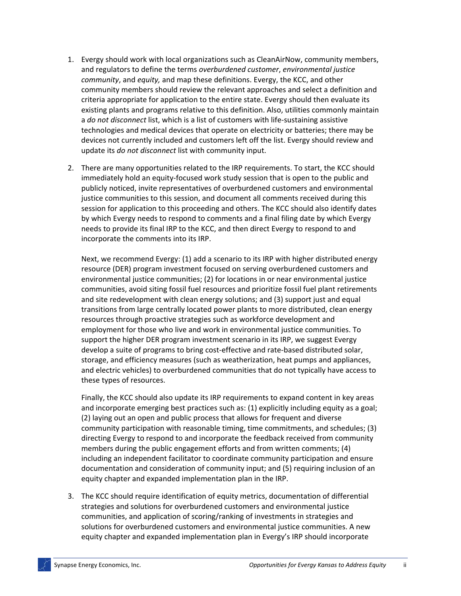- 1. Evergy should work with local organizations such as CleanAirNow, community members, and regulators to define the terms *overburdened customer*, *environmental justice community*, and *equity,* and map these definitions. Evergy, the KCC, and other community members should review the relevant approaches and select a definition and criteria appropriate for application to the entire state. Evergy should then evaluate its existing plants and programs relative to this definition. Also, utilities commonly maintain a *do not disconnect* list, which is a list of customers with life-sustaining assistive technologies and medical devices that operate on electricity or batteries; there may be devices not currently included and customers left off the list. Evergy should review and update its *do not disconnect* list with community input.
- 2. There are many opportunities related to the IRP requirements. To start, the KCC should immediately hold an equity-focused work study session that is open to the public and publicly noticed, invite representatives of overburdened customers and environmental justice communities to this session, and document all comments received during this session for application to this proceeding and others. The KCC should also identify dates by which Evergy needs to respond to comments and a final filing date by which Evergy needs to provide its final IRP to the KCC, and then direct Evergy to respond to and incorporate the comments into its IRP.

Next, we recommend Evergy: (1) add a scenario to its IRP with higher distributed energy resource (DER) program investment focused on serving overburdened customers and environmental justice communities; (2) for locations in or near environmental justice communities, avoid siting fossil fuel resources and prioritize fossil fuel plant retirements and site redevelopment with clean energy solutions; and (3) support just and equal transitions from large centrally located power plants to more distributed, clean energy resources through proactive strategies such as workforce development and employment for those who live and work in environmental justice communities. To support the higher DER program investment scenario in its IRP, we suggest Evergy develop a suite of programs to bring cost-effective and rate-based distributed solar, storage, and efficiency measures (such as weatherization, heat pumps and appliances, and electric vehicles) to overburdened communities that do not typically have access to these types of resources.

Finally, the KCC should also update its IRP requirements to expand content in key areas and incorporate emerging best practices such as: (1) explicitly including equity as a goal; (2) laying out an open and public process that allows for frequent and diverse community participation with reasonable timing, time commitments, and schedules; (3) directing Evergy to respond to and incorporate the feedback received from community members during the public engagement efforts and from written comments; (4) including an independent facilitator to coordinate community participation and ensure documentation and consideration of community input; and (5) requiring inclusion of an equity chapter and expanded implementation plan in the IRP.

3. The KCC should require identification of equity metrics, documentation of differential strategies and solutions for overburdened customers and environmental justice communities, and application of scoring/ranking of investments in strategies and solutions for overburdened customers and environmental justice communities. A new equity chapter and expanded implementation plan in Evergy's IRP should incorporate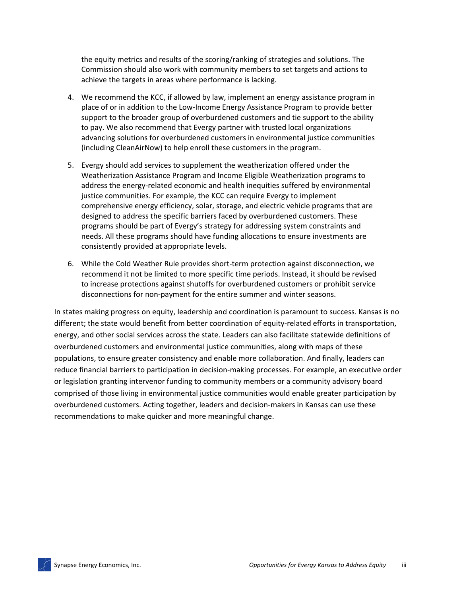the equity metrics and results of the scoring/ranking of strategies and solutions. The Commission should also work with community members to set targets and actions to achieve the targets in areas where performance is lacking.

- 4. We recommend the KCC, if allowed by law, implement an energy assistance program in place of or in addition to the Low-Income Energy Assistance Program to provide better support to the broader group of overburdened customers and tie support to the ability to pay. We also recommend that Evergy partner with trusted local organizations advancing solutions for overburdened customers in environmental justice communities (including CleanAirNow) to help enroll these customers in the program.
- 5. Evergy should add services to supplement the weatherization offered under the Weatherization Assistance Program and Income Eligible Weatherization programs to address the energy-related economic and health inequities suffered by environmental justice communities. For example, the KCC can require Evergy to implement comprehensive energy efficiency, solar, storage, and electric vehicle programs that are designed to address the specific barriers faced by overburdened customers. These programs should be part of Evergy's strategy for addressing system constraints and needs. All these programs should have funding allocations to ensure investments are consistently provided at appropriate levels.
- 6. While the Cold Weather Rule provides short-term protection against disconnection, we recommend it not be limited to more specific time periods. Instead, it should be revised to increase protections against shutoffs for overburdened customers or prohibit service disconnections for non-payment for the entire summer and winter seasons.

In states making progress on equity, leadership and coordination is paramount to success. Kansas is no different; the state would benefit from better coordination of equity-related efforts in transportation, energy, and other social services across the state. Leaders can also facilitate statewide definitions of overburdened customers and environmental justice communities, along with maps of these populations, to ensure greater consistency and enable more collaboration. And finally, leaders can reduce financial barriers to participation in decision-making processes. For example, an executive order or legislation granting intervenor funding to community members or a community advisory board comprised of those living in environmental justice communities would enable greater participation by overburdened customers. Acting together, leaders and decision-makers in Kansas can use these recommendations to make quicker and more meaningful change.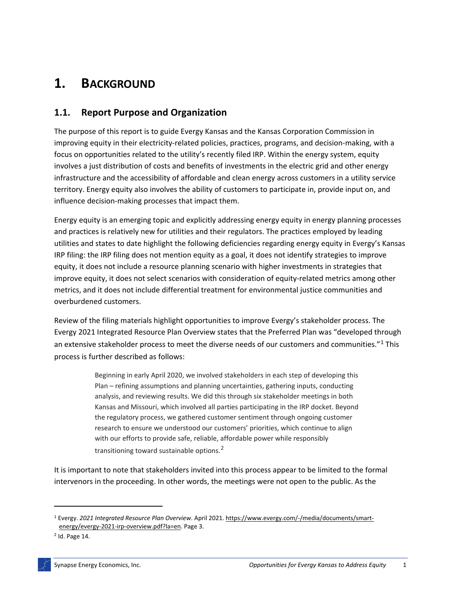# **1. BACKGROUND**

# **1.1. Report Purpose and Organization**

The purpose of this report is to guide Evergy Kansas and the Kansas Corporation Commission in improving equity in their electricity-related policies, practices, programs, and decision-making, with a focus on opportunities related to the utility's recently filed IRP. Within the energy system, equity involves a just distribution of costs and benefits of investments in the electric grid and other energy infrastructure and the accessibility of affordable and clean energy across customers in a utility service territory. Energy equity also involves the ability of customers to participate in, provide input on, and influence decision-making processes that impact them.

Energy equity is an emerging topic and explicitly addressing energy equity in energy planning processes and practices is relatively new for utilities and their regulators. The practices employed by leading utilities and states to date highlight the following deficiencies regarding energy equity in Evergy's Kansas IRP filing: the IRP filing does not mention equity as a goal, it does not identify strategies to improve equity, it does not include a resource planning scenario with higher investments in strategies that improve equity, it does not select scenarios with consideration of equity-related metrics among other metrics, and it does not include differential treatment for environmental justice communities and overburdened customers.

Review of the filing materials highlight opportunities to improve Evergy's stakeholder process. The Evergy 2021 Integrated Resource Plan Overview states that the Preferred Plan was "developed through an extensive stakeholder process to meet the diverse needs of our customers and communities."<sup>[1](#page-5-0)</sup> This process is further described as follows:

> Beginning in early April 2020, we involved stakeholders in each step of developing this Plan – refining assumptions and planning uncertainties, gathering inputs, conducting analysis, and reviewing results. We did this through six stakeholder meetings in both Kansas and Missouri, which involved all parties participating in the IRP docket. Beyond the regulatory process, we gathered customer sentiment through ongoing customer research to ensure we understood our customers' priorities, which continue to align with our efforts to provide safe, reliable, affordable power while responsibly transitioning toward sustainable options.<sup>[2](#page-5-1)</sup>

It is important to note that stakeholders invited into this process appear to be limited to the formal intervenors in the proceeding. In other words, the meetings were not open to the public. As the

<span id="page-5-0"></span><sup>1</sup> Evergy. *2021 Integrated Resource Plan Overview*. April 2021. [https://www.evergy.com/-/media/documents/smart](https://www.evergy.com/-/media/documents/smart-energy/evergy-2021-irp-overview.pdf?la=en)[energy/evergy-2021-irp-overview.pdf?la=en.](https://www.evergy.com/-/media/documents/smart-energy/evergy-2021-irp-overview.pdf?la=en) Page 3.

<span id="page-5-1"></span><sup>2</sup> Id. Page 14.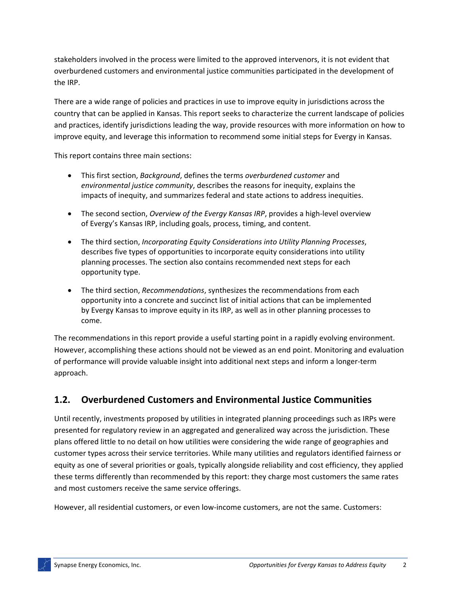stakeholders involved in the process were limited to the approved intervenors, it is not evident that overburdened customers and environmental justice communities participated in the development of the IRP.

There are a wide range of policies and practices in use to improve equity in jurisdictions across the country that can be applied in Kansas. This report seeks to characterize the current landscape of policies and practices, identify jurisdictions leading the way, provide resources with more information on how to improve equity, and leverage this information to recommend some initial steps for Evergy in Kansas.

This report contains three main sections:

- This first section, *Background*, defines the terms *overburdened customer* and *environmental justice community*, describes the reasons for inequity, explains the impacts of inequity, and summarizes federal and state actions to address inequities.
- The second section, *Overview of the Evergy Kansas IRP*, provides a high-level overview of Evergy's Kansas IRP, including goals, process, timing, and content.
- The third section, *Incorporating Equity Considerations into Utility Planning Processes*, describes five types of opportunities to incorporate equity considerations into utility planning processes. The section also contains recommended next steps for each opportunity type.
- The third section, *Recommendations*, synthesizes the recommendations from each opportunity into a concrete and succinct list of initial actions that can be implemented by Evergy Kansas to improve equity in its IRP, as well as in other planning processes to come.

The recommendations in this report provide a useful starting point in a rapidly evolving environment. However, accomplishing these actions should not be viewed as an end point. Monitoring and evaluation of performance will provide valuable insight into additional next steps and inform a longer-term approach.

# **1.2. Overburdened Customers and Environmental Justice Communities**

Until recently, investments proposed by utilities in integrated planning proceedings such as IRPs were presented for regulatory review in an aggregated and generalized way across the jurisdiction. These plans offered little to no detail on how utilities were considering the wide range of geographies and customer types across their service territories. While many utilities and regulators identified fairness or equity as one of several priorities or goals, typically alongside reliability and cost efficiency, they applied these terms differently than recommended by this report: they charge most customers the same rates and most customers receive the same service offerings.

However, all residential customers, or even low-income customers, are not the same. Customers: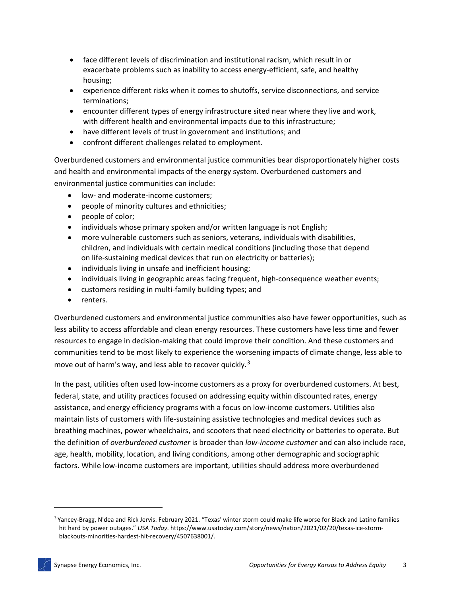- face different levels of discrimination and institutional racism, which result in or exacerbate problems such as inability to access energy-efficient, safe, and healthy housing;
- experience different risks when it comes to shutoffs, service disconnections, and service terminations;
- encounter different types of energy infrastructure sited near where they live and work, with different health and environmental impacts due to this infrastructure;
- have different levels of trust in government and institutions; and
- confront different challenges related to employment.

Overburdened customers and environmental justice communities bear disproportionately higher costs and health and environmental impacts of the energy system. Overburdened customers and environmental justice communities can include:

- low- and moderate-income customers;
- people of minority cultures and ethnicities;
- people of color;
- individuals whose primary spoken and/or written language is not English;
- more vulnerable customers such as seniors, veterans, individuals with disabilities, children, and individuals with certain medical conditions (including those that depend on life-sustaining medical devices that run on electricity or batteries);
- individuals living in unsafe and inefficient housing;
- individuals living in geographic areas facing frequent, high-consequence weather events;
- customers residing in multi-family building types; and
- renters.

Overburdened customers and environmental justice communities also have fewer opportunities, such as less ability to access affordable and clean energy resources. These customers have less time and fewer resources to engage in decision-making that could improve their condition. And these customers and communities tend to be most likely to experience the worsening impacts of climate change, less able to move out of harm's way, and less able to recover quickly.<sup>[3](#page-7-0)</sup>

In the past, utilities often used low-income customers as a proxy for overburdened customers. At best, federal, state, and utility practices focused on addressing equity within discounted rates, energy assistance, and energy efficiency programs with a focus on low-income customers. Utilities also maintain lists of customers with life-sustaining assistive technologies and medical devices such as breathing machines, power wheelchairs, and scooters that need electricity or batteries to operate. But the definition of *overburdened customer* is broader than *low-income customer* and can also include race, age, health, mobility, location, and living conditions, among other demographic and sociographic factors. While low-income customers are important, utilities should address more overburdened

<span id="page-7-0"></span><sup>&</sup>lt;sup>3</sup> [Yancey-Bragg,](https://www.usatoday.com/staff/2646700001/ndea-yancey-bragg/) N'dea an[d Rick Jervis.](https://www.usatoday.com/staff/2646542001/rick-jervis/) February 2021. "Texas' winter storm could make life worse for Black and Latino families hit hard by power outages." *USA Today*. https://www.usatoday.com/story/news/nation/2021/02/20/texas-ice-stormblackouts-minorities-hardest-hit-recovery/4507638001/.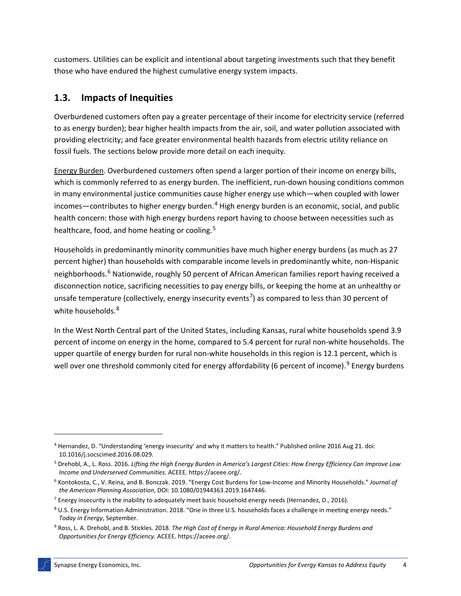customers. Utilities can be explicit and intentional about targeting investments such that they benefit those who have endured the highest cumulative energy system impacts.

# **1.3. Impacts of Inequities**

Overburdened customers often pay a greater percentage of their income for electricity service (referred to as energy burden); bear higher health impacts from the air, soil, and water pollution associated with providing electricity; and face greater environmental health hazards from electric utility reliance on fossil fuels. The sections below provide more detail on each inequity.

Energy Burden. Overburdened customers often spend a larger portion of their income on energy bills, which is commonly referred to as energy burden. The inefficient, run-down housing conditions common in many environmental justice communities cause higher energy use which—when coupled with lower incomes—contributes to higher energy burden. $4$  High energy burden is an economic, social, and public health concern: those with high energy burdens report having to choose between necessities such as healthcare, food, and home heating or cooling.<sup>[5](#page-8-1)</sup>

Households in predominantly minority communities have much higher energy burdens (as much as 27 percent higher) than households with comparable income levels in predominantly white, non-Hispanic neighborhoods.<sup>[6](#page-8-2)</sup> Nationwide, roughly 50 percent of African American families report having received a disconnection notice, sacrificing necessities to pay energy bills, or keeping the home at an unhealthy or unsafe temperature (collectively, energy insecurity events<sup>[7](#page-8-3)</sup>) as compared to less than 30 percent of white households.<sup>[8](#page-8-4)</sup>

In the West North Central part of the United States, including Kansas, rural white households spend 3.9 percent of income on energy in the home, compared to 5.4 percent for rural non-white households. The upper quartile of energy burden for rural non-white households in this region is 12.1 percent, which is well over one threshold commonly cited for energy affordability (6 percent of income).<sup>[9](#page-8-5)</sup> Energy burdens

<span id="page-8-0"></span><sup>4</sup> Hernandez, D. "Understanding 'energy insecurity' and why it matters to health." Published online 2016 Aug 21. doi: 10.1016/j.socscimed.2016.08.029.

<span id="page-8-1"></span><sup>5</sup> Drehobl, A., L. Ross. 2016. *Lifting the High Energy Burden in America's Largest Cities: How Energy Efficiency Can Improve Low Income and Underserved Communities*. ACEEE. https://aceee.org/.

<span id="page-8-2"></span><sup>6</sup> Kontokosta, C., V. Reina, and B. Bonczak. 2019. "Energy Cost Burdens for Low-Income and Minority Households." *Journal of the American Planning Association*, DOI: 10.1080/01944363.2019.1647446.

<span id="page-8-3"></span> $^7$  Energy insecurity is the inability to adequately meet basic household energy needs (Hernandez, D., 2016).

<span id="page-8-4"></span><sup>8</sup> U.S. Energy Information Administration. 2018. "One in three U.S. households faces a challenge in meeting energy needs." *Today in Energy*, September.

<span id="page-8-5"></span><sup>9</sup> Ross, L. A. Drehobl, and B. Stickles. 2018. *The High Cost of Energy in Rural America: Household Energy Burdens and Opportunities for Energy Efficiency.* ACEEE. https://aceee.org/.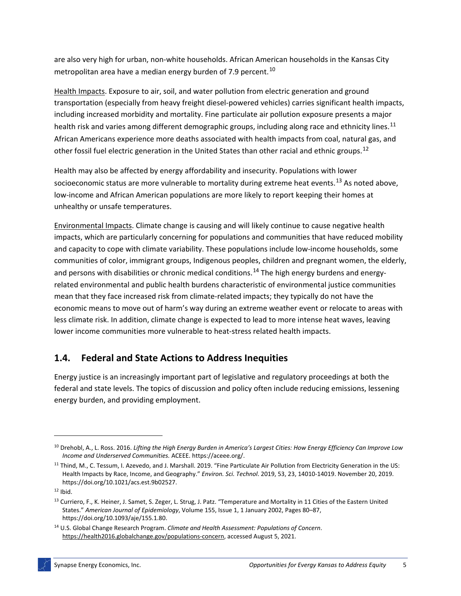are also very high for urban, non-white households. African American households in the Kansas City metropolitan area have a median energy burden of 7.9 percent.<sup>[10](#page-9-0)</sup>

Health Impacts. Exposure to air, soil, and water pollution from electric generation and ground transportation (especially from heavy freight diesel-powered vehicles) carries significant health impacts, including increased morbidity and mortality. Fine particulate air pollution exposure presents a major health risk and varies among different demographic groups, including along race and ethnicity lines.<sup>[11](#page-9-1)</sup> African Americans experience more deaths associated with health impacts from coal, natural gas, and other fossil fuel electric generation in the United States than other racial and ethnic groups.<sup>[12](#page-9-2)</sup>

Health may also be affected by energy affordability and insecurity. Populations with lower socioeconomic status are more vulnerable to mortality during extreme heat events.<sup>[13](#page-9-3)</sup> As noted above, low-income and African American populations are more likely to report keeping their homes at unhealthy or unsafe temperatures.

Environmental Impacts. Climate change is causing and will likely continue to cause negative health impacts, which are particularly concerning for populations and communities that have reduced mobility and capacity to cope with climate variability. These populations include low-income households, some communities of color, immigrant groups, Indigenous peoples, children and pregnant women, the elderly, and persons with disabilities or chronic medical conditions.<sup>[14](#page-9-4)</sup> The high energy burdens and energyrelated environmental and public health burdens characteristic of environmental justice communities mean that they face increased risk from climate-related impacts; they typically do not have the economic means to move out of harm's way during an extreme weather event or relocate to areas with less climate risk. In addition, climate change is expected to lead to more intense heat waves, leaving lower income communities more vulnerable to heat-stress related health impacts.

## **1.4. Federal and State Actions to Address Inequities**

Energy justice is an increasingly important part of legislative and regulatory proceedings at both the federal and state levels. The topics of discussion and policy often include reducing emissions, lessening energy burden, and providing employment.

<span id="page-9-0"></span><sup>10</sup> Drehobl, A., L. Ross. 2016. *Lifting the High Energy Burden in America's Largest Cities: How Energy Efficiency Can Improve Low Income and Underserved Communities.* ACEEE. https://aceee.org/.

<span id="page-9-1"></span><sup>&</sup>lt;sup>11</sup> Thind, M., C. Tessum, I. Azevedo, and J. Marshall. 2019. "Fine Particulate Air Pollution from Electricity Generation in the US: Health Impacts by Race, Income, and Geography." *Environ. Sci. Technol*. 2019, 53, 23, 14010-14019. November 20, 2019. https://doi.org/10.1021/acs.est.9b02527.

<span id="page-9-2"></span> $12$  Ibid.

<span id="page-9-3"></span><sup>&</sup>lt;sup>13</sup> Curriero, F., K. Heiner, J. Samet, S. Zeger, L. Strug, J. Patz. "Temperature and Mortality in 11 Cities of the Eastern United States." *American Journal of Epidemiology*, Volume 155, Issue 1, 1 January 2002, Pages 80–87, https://doi.org/10.1093/aje/155.1.80.

<span id="page-9-4"></span><sup>14</sup> U.S. Global Change Research Program. *Climate and Health Assessment: Populations of Concern*. [https://health2016.globalchange.gov/populations-concern,](https://health2016.globalchange.gov/populations-concern) accessed August 5, 2021.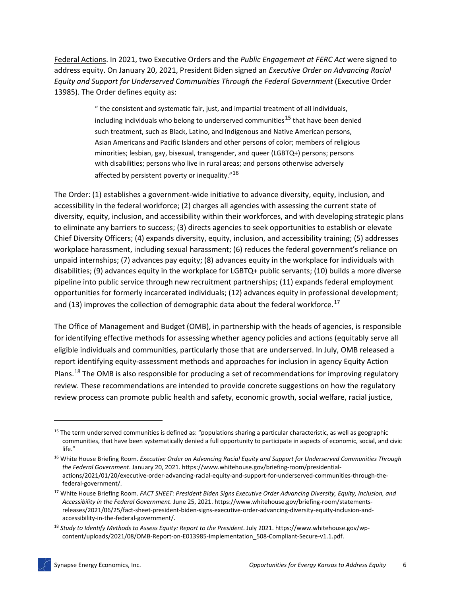Federal Actions. In 2021, two Executive Orders and the *Public Engagement at FERC Act* were signed to address equity. On January 20, 2021, President Biden signed an *Executive Order on Advancing Racial Equity and Support for Underserved Communities Through the Federal Government* (Executive Order 13985). The Order defines equity as:

> " the consistent and systematic fair, just, and impartial treatment of all individuals, including individuals who belong to underserved communities<sup>[15](#page-10-0)</sup> that have been denied such treatment, such as Black, Latino, and Indigenous and Native American persons, Asian Americans and Pacific Islanders and other persons of color; members of religious minorities; lesbian, gay, bisexual, transgender, and queer (LGBTQ+) persons; persons with disabilities; persons who live in rural areas; and persons otherwise adversely affected by persistent poverty or inequality."<sup>[16](#page-10-1)</sup>

The Order: (1) establishes a government-wide initiative to advance diversity, equity, inclusion, and accessibility in the federal workforce; (2) charges all agencies with assessing the current state of diversity, equity, inclusion, and accessibility within their workforces, and with developing strategic plans to eliminate any barriers to success; (3) directs agencies to seek opportunities to establish or elevate Chief Diversity Officers; (4) expands diversity, equity, inclusion, and accessibility training; (5) addresses workplace harassment, including sexual harassment; (6) reduces the federal government's reliance on unpaid internships; (7) advances pay equity; (8) advances equity in the workplace for individuals with disabilities; (9) advances equity in the workplace for LGBTQ+ public servants; (10) builds a more diverse pipeline into public service through new recruitment partnerships; (11) expands federal employment opportunities for formerly incarcerated individuals; (12) advances equity in professional development; and (13) improves the collection of demographic data about the federal workforce.<sup>[17](#page-10-2)</sup>

The Office of Management and Budget (OMB), in partnership with the heads of agencies, is responsible for identifying effective methods for assessing whether agency policies and actions (equitably serve all eligible individuals and communities, particularly those that are underserved. In July, OMB released a report identifying equity-assessment methods and approaches for inclusion in agency Equity Action Plans.<sup>[18](#page-10-3)</sup> The OMB is also responsible for producing a set of recommendations for improving regulatory review. These recommendations are intended to provide concrete suggestions on how the regulatory review process can promote public health and safety, economic growth, social welfare, racial justice,

<span id="page-10-0"></span><sup>&</sup>lt;sup>15</sup> The term underserved communities is defined as: "populations sharing a particular characteristic, as well as geographic communities, that have been systematically denied a full opportunity to participate in aspects of economic, social, and civic life."

<span id="page-10-1"></span><sup>16</sup> White House Briefing Room. *Executive Order on Advancing Racial Equity and Support for Underserved Communities Through the Federal Government*. January 20, 2021. https://www.whitehouse.gov/briefing-room/presidentialactions/2021/01/20/executive-order-advancing-racial-equity-and-support-for-underserved-communities-through-thefederal-government/.

<span id="page-10-2"></span><sup>17</sup> White House Briefing Room. *FACT SHEET: President Biden Signs Executive Order Advancing Diversity, Equity, Inclusion, and Accessibility in the Federal Government*. June 25, 2021. https://www.whitehouse.gov/briefing-room/statementsreleases/2021/06/25/fact-sheet-president-biden-signs-executive-order-advancing-diversity-equity-inclusion-andaccessibility-in-the-federal-government/.

<span id="page-10-3"></span><sup>18</sup> *Study to Identify Methods to Assess Equity: Report to the President*. July 2021. https://www.whitehouse.gov/wpcontent/uploads/2021/08/OMB-Report-on-E013985-Implementation\_508-Compliant-Secure-v1.1.pdf.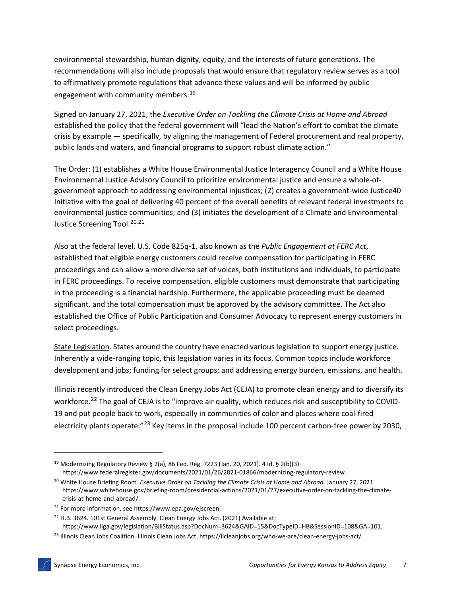environmental stewardship, human dignity, equity, and the interests of future generations. The recommendations will also include proposals that would ensure that regulatory review serves as a tool to affirmatively promote regulations that advance these values and will be informed by public engagement with community members.<sup>[19](#page-11-0)</sup>

Signed on January 27, 2021, the *Executive Order on Tackling the Climate Crisis at Home and Abroad* established the policy that the federal government will "lead the Nation's effort to combat the climate crisis by example — specifically, by aligning the management of Federal procurement and real property, public lands and waters, and financial programs to support robust climate action."

The Order: (1) establishes a White House Environmental Justice Interagency Council and a White House Environmental Justice Advisory Council to prioritize environmental justice and ensure a whole-ofgovernment approach to addressing environmental injustices; (2) creates a government-wide Justice40 Initiative with the goal of delivering 40 percent of the overall benefits of relevant federal investments to environmental justice communities; and (3) initiates the development of a Climate and Environmental Justice Screening Tool.<sup>[20](#page-11-1),[21](#page-11-2)</sup>

Also at the federal level, U.S. Code 825q-1, also known as the *Public Engagement at FERC Act*, established that eligible energy customers could receive compensation for participating in FERC proceedings and can allow a more diverse set of voices, both institutions and individuals, to participate in FERC proceedings. To receive compensation, eligible customers must demonstrate that participating in the proceeding is a financial hardship. Furthermore, the applicable proceeding must be deemed significant, and the total compensation must be approved by the advisory committee. The Act also established the Office of Public Participation and Consumer Advocacy to represent energy customers in select proceedings.

State Legislation. States around the country have enacted various legislation to support energy justice. Inherently a wide-ranging topic, this legislation varies in its focus. Common topics include workforce development and jobs; funding for select groups; and addressing energy burden, emissions, and health.

Illinois recently introduced the Clean Energy Jobs Act (CEJA) to promote clean energy and to diversify its workforce.<sup>[22](#page-11-3)</sup> The goal of CEJA is to "improve air quality, which reduces risk and susceptibility to COVID-19 and put people back to work, especially in communities of color and places where coal-fired electricity plants operate."<sup>[23](#page-11-4)</sup> Key items in the proposal include 100 percent carbon-free power by 2030,

<span id="page-11-0"></span><sup>19</sup> Modernizing Regulatory Review § 2(a), 86 Fed. Reg. 7223 (Jan. 20, 2021). 4 Id. § 2(b)(3).

https://www.federalregister.gov/documents/2021/01/26/2021-01866/modernizing-regulatory-review.

<span id="page-11-1"></span><sup>20</sup> White House Briefing Room. *Executive Order on Tackling the Climate Crisis at Home and Abroad*. January 27, 2021. https://www.whitehouse.gov/briefing-room/presidential-actions/2021/01/27/executive-order-on-tackling-the-climatecrisis-at-home-and-abroad/.

<span id="page-11-2"></span><sup>21</sup> For more information, see https://www.epa.gov/ejscreen.

<span id="page-11-3"></span><sup>&</sup>lt;sup>22</sup> H.B. 3624. 101st General Assembly. Clean Energy Jobs Act. (2021) Available at: [https://www.ilga.gov/legislation/BillStatus.asp?DocNum=3624&GAID=15&DocTypeID=HB&SessionID=108&GA=101.](https://www.ilga.gov/legislation/BillStatus.asp?DocNum=3624&GAID=15&DocTypeID=HB&SessionID=108&GA=101)

<span id="page-11-4"></span><sup>&</sup>lt;sup>23</sup> Illinois Clean Jobs Coalition. Illinois Clean Jobs Act. https://ilcleanjobs.org/who-we-are/clean-energy-jobs-act/.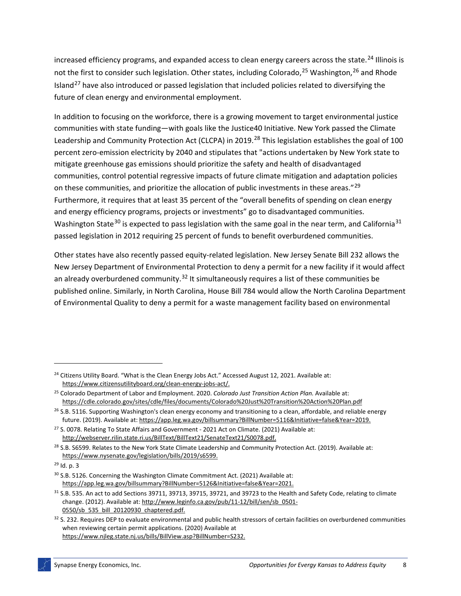increased efficiency programs, and expanded access to clean energy careers across the state.<sup>[24](#page-12-0)</sup> Illinois is not the first to consider such legislation. Other states, including Colorado,<sup>[25](#page-12-1)</sup> Washington,<sup>[26](#page-12-2)</sup> and Rhode Island<sup>[27](#page-12-3)</sup> have also introduced or passed legislation that included policies related to diversifying the future of clean energy and environmental employment.

In addition to focusing on the workforce, there is a growing movement to target environmental justice communities with state funding—with goals like the Justice40 Initiative. New York passed the Climate Leadership and Community Protection Act (CLCPA) in 2019.<sup>[28](#page-12-4)</sup> This legislation establishes the goal of 100 percent zero-emission electricity by 2040 and stipulates that "actions undertaken by New York state to mitigate greenhouse gas emissions should prioritize the safety and health of disadvantaged communities, control potential regressive impacts of future climate mitigation and adaptation policies on these communities, and prioritize the allocation of public investments in these areas."<sup>[29](#page-12-5)</sup> Furthermore, it requires that at least 35 percent of the "overall benefits of spending on clean energy and energy efficiency programs, projects or investments" go to disadvantaged communities. Washington State<sup>[30](#page-12-6)</sup> is expected to pass legislation with the same goal in the near term, and California<sup>[31](#page-12-7)</sup> passed legislation in 2012 requiring 25 percent of funds to benefit overburdened communities.

Other states have also recently passed equity-related legislation. New Jersey Senate Bill 232 allows the New Jersey Department of Environmental Protection to deny a permit for a new facility if it would affect an already overburdened community.<sup>[32](#page-12-8)</sup> It simultaneously requires a list of these communities be published online. Similarly, in North Carolina, House Bill 784 would allow the North Carolina Department of Environmental Quality to deny a permit for a waste management facility based on environmental

<span id="page-12-0"></span><sup>&</sup>lt;sup>24</sup> Citizens Utility Board. "What is the Clean Energy Jobs Act." Accessed August 12, 2021. Available at: [https://www.citizensutilityboard.org/clean-energy-jobs-act/.](https://www.citizensutilityboard.org/clean-energy-jobs-act/)

<span id="page-12-1"></span><sup>25</sup> Colorado Department of Labor and Employment. 2020. *Colorado Just Transition Action Plan.* Available at: <https://cdle.colorado.gov/sites/cdle/files/documents/Colorado%20Just%20Transition%20Action%20Plan.pdf>

<span id="page-12-2"></span> $26$  S.B. 5116. Supporting Washington's clean energy economy and transitioning to a clean, affordable, and reliable energy future. (2019). Available at[: https://app.leg.wa.gov/billsummary?BillNumber=5116&Initiative=false&Year=2019.](https://app.leg.wa.gov/billsummary?BillNumber=5116&Initiative=false&Year=2019)

<span id="page-12-3"></span><sup>&</sup>lt;sup>27</sup> S. 0078. Relating To State Affairs and Government - 2021 Act on Climate. (2021) Available at: [http://webserver.rilin.state.ri.us/BillText/BillText21/SenateText21/S0078.pdf.](http://webserver.rilin.state.ri.us/BillText/BillText21/SenateText21/S0078.pdf)

<span id="page-12-4"></span><sup>&</sup>lt;sup>28</sup> S.B. S6599. Relates to the New York State Climate Leadership and Community Protection Act. (2019). Available at: [https://www.nysenate.gov/legislation/bills/2019/s6599.](https://www.nysenate.gov/legislation/bills/2019/s6599)

<span id="page-12-5"></span> $29$  Id. p. 3

<span id="page-12-6"></span><sup>&</sup>lt;sup>30</sup> S.B. 5126. Concerning the Washington Climate Commitment Act. (2021) Available at: [https://app.leg.wa.gov/billsummary?BillNumber=5126&Initiative=false&Year=2021.](https://app.leg.wa.gov/billsummary?BillNumber=5126&Initiative=false&Year=2021)

<span id="page-12-7"></span><sup>31</sup> S.B. 535. An act to add Sections 39711, 39713, 39715, 39721, and 39723 to the Health and Safety Code, relating to climate change. (2012). Available at[: http://www.leginfo.ca.gov/pub/11-12/bill/sen/sb\\_0501-](http://www.leginfo.ca.gov/pub/11-12/bill/sen/sb_0501-0550/sb_535_bill_20120930_chaptered.pdf) [0550/sb\\_535\\_bill\\_20120930\\_chaptered.pdf.](http://www.leginfo.ca.gov/pub/11-12/bill/sen/sb_0501-0550/sb_535_bill_20120930_chaptered.pdf)

<span id="page-12-8"></span><sup>32</sup> S. 232. Requires DEP to evaluate environmental and public health stressors of certain facilities on overburdened communities when reviewing certain permit applications. (2020) Available at [https://www.njleg.state.nj.us/bills/BillView.asp?BillNumber=S232.](https://www.njleg.state.nj.us/bills/BillView.asp?BillNumber=S232)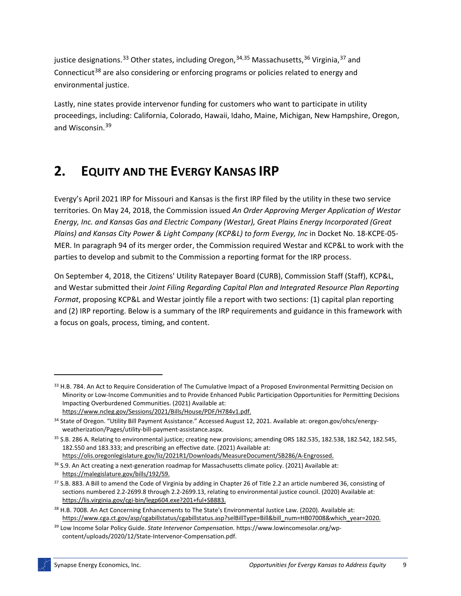justice designations.<sup>[33](#page-13-0)</sup> Other states, including Oregon,<sup>[34,](#page-13-1)[35](#page-13-2)</sup> Massachusetts,<sup>[36](#page-13-3)</sup> Virginia,<sup>[37](#page-13-4)</sup> and Connecticut<sup>[38](#page-13-5)</sup> are also considering or enforcing programs or policies related to energy and environmental justice.

Lastly, nine states provide intervenor funding for customers who want to participate in utility proceedings, including: California, Colorado, Hawaii, Idaho, Maine, Michigan, New Hampshire, Oregon, and Wisconsin. [39](#page-13-6)

# **2. EQUITY AND THE EVERGY KANSAS IRP**

Evergy's April 2021 IRP for Missouri and Kansas is the first IRP filed by the utility in these two service territories. On May 24, 2018, the Commission issued *An Order Approving Merger Application of Westar Energy, Inc. and Kansas Gas and Electric Company (Westar), Great Plains Energy Incorporated (Great Plains) and Kansas City Power & Light Company (KCP&L) to form Evergy, Inc* in Docket No. 18-KCPE-05- MER. In paragraph 94 of its merger order, the Commission required Westar and KCP&L to work with the parties to develop and submit to the Commission a reporting format for the IRP process.

On September 4, 2018, the Citizens' Utility Ratepayer Board (CURB), Commission Staff (Staff), KCP&L, and Westar submitted their *Joint Filing Regarding Capital Plan and Integrated Resource Plan Reporting Format*, proposing KCP&L and Westar jointly file a report with two sections: (1) capital plan reporting and (2) IRP reporting. Below is a summary of the IRP requirements and guidance in this framework with a focus on goals, process, timing, and content.

[https://www.ncleg.gov/Sessions/2021/Bills/House/PDF/H784v1.pdf.](https://www.ncleg.gov/Sessions/2021/Bills/House/PDF/H784v1.pdf)

<span id="page-13-0"></span><sup>&</sup>lt;sup>33</sup> H.B. 784. An Act to Require Consideration of The Cumulative Impact of a Proposed Environmental Permitting Decision on Minority or Low-Income Communities and to Provide Enhanced Public Participation Opportunities for Permitting Decisions Impacting Overburdened Communities. (2021) Available at:

<span id="page-13-1"></span><sup>34</sup> State of Oregon. "Utility Bill Payment Assistance." Accessed August 12, 2021. Available at: oregon.gov/ohcs/energyweatherization/Pages/utility-bill-payment-assistance.aspx.

<span id="page-13-2"></span><sup>35</sup> S.B. 286 A. Relating to environmental justice; creating new provisions; amending ORS 182.535, 182.538, 182.542, 182.545, 182.550 and 183.333; and prescribing an effective date. (2021) Available at: [https://olis.oregonlegislature.gov/liz/2021R1/Downloads/MeasureDocument/SB286/A-Engrossed.](https://olis.oregonlegislature.gov/liz/2021R1/Downloads/MeasureDocument/SB286/A-Engrossed)

<span id="page-13-3"></span><sup>&</sup>lt;sup>36</sup> S.9. An Act creating a next-generation roadmap for Massachusetts climate policy. (2021) Available at:

[https://malegislature.gov/bills/192/S9.](https://malegislature.gov/bills/192/S9)

<span id="page-13-4"></span><sup>37</sup> S.B. 883. A Bill to amend the Code of Virginia by adding in Chapter 26 of Title 2.2 an article numbered 36, consisting of sections numbered 2.2-2699.8 through 2.2-2699.13, relating to environmental justice council. (2020) Available at: [https://lis.virginia.gov/cgi-bin/legp604.exe?201+ful+SB883.](https://lis.virginia.gov/cgi-bin/legp604.exe?201+ful+SB883)

<span id="page-13-5"></span><sup>&</sup>lt;sup>38</sup> H.B. 7008. An Act Concerning Enhancements to The State's Environmental Justice Law. (2020). Available at: [https://www.cga.ct.gov/asp/cgabillstatus/cgabillstatus.asp?selBillType=Bill&bill\\_num=HB07008&which\\_year=2020.](https://www.cga.ct.gov/asp/cgabillstatus/cgabillstatus.asp?selBillType=Bill&bill_num=HB07008&which_year=2020)

<span id="page-13-6"></span><sup>39</sup> Low Income Solar Policy Guide. *State Intervenor Compensation*. https://www.lowincomesolar.org/wpcontent/uploads/2020/12/State-Intervenor-Compensation.pdf.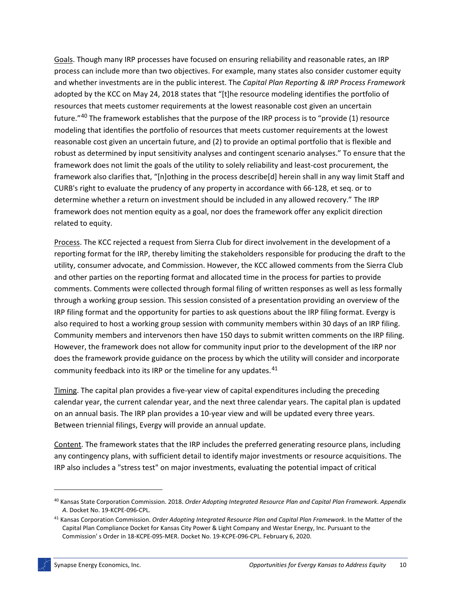Goals. Though many IRP processes have focused on ensuring reliability and reasonable rates, an IRP process can include more than two objectives. For example, many states also consider customer equity and whether investments are in the public interest. The *Capital Plan Reporting & IRP Process Framework* adopted by the KCC on May 24, 2018 states that "[t]he resource modeling identifies the portfolio of resources that meets customer requirements at the lowest reasonable cost given an uncertain future."<sup>[40](#page-14-0)</sup> The framework establishes that the purpose of the IRP process is to "provide (1) resource modeling that identifies the portfolio of resources that meets customer requirements at the lowest reasonable cost given an uncertain future, and (2) to provide an optimal portfolio that is flexible and robust as determined by input sensitivity analyses and contingent scenario analyses." To ensure that the framework does not limit the goals of the utility to solely reliability and least-cost procurement, the framework also clarifies that, "[n]othing in the process describe[d] herein shall in any way limit Staff and CURB's right to evaluate the prudency of any property in accordance with 66-128, et seq. or to determine whether a return on investment should be included in any allowed recovery." The IRP framework does not mention equity as a goal, nor does the framework offer any explicit direction related to equity.

Process. The KCC rejected a request from Sierra Club for direct involvement in the development of a reporting format for the IRP, thereby limiting the stakeholders responsible for producing the draft to the utility, consumer advocate, and Commission. However, the KCC allowed comments from the Sierra Club and other parties on the reporting format and allocated time in the process for parties to provide comments. Comments were collected through formal filing of written responses as well as less formally through a working group session. This session consisted of a presentation providing an overview of the IRP filing format and the opportunity for parties to ask questions about the IRP filing format. Evergy is also required to host a working group session with community members within 30 days of an IRP filing. Community members and intervenors then have 150 days to submit written comments on the IRP filing. However, the framework does not allow for community input prior to the development of the IRP nor does the framework provide guidance on the process by which the utility will consider and incorporate community feedback into its IRP or the timeline for any updates.<sup>[41](#page-14-1)</sup>

Timing. The capital plan provides a five-year view of capital expenditures including the preceding calendar year, the current calendar year, and the next three calendar years. The capital plan is updated on an annual basis. The IRP plan provides a 10-year view and will be updated every three years. Between triennial filings, Evergy will provide an annual update.

Content. The framework states that the IRP includes the preferred generating resource plans, including any contingency plans, with sufficient detail to identify major investments or resource acquisitions. The IRP also includes a "stress test" on major investments, evaluating the potential impact of critical

<span id="page-14-0"></span><sup>40</sup> Kansas State Corporation Commission. 2018. *Order Adopting Integrated Resource Plan and Capital Plan Framework*. *Appendix A*. Docket No. 19-KCPE-096-CPL.

<span id="page-14-1"></span><sup>41</sup> Kansas Corporation Commission. *Order Adopting Integrated Resource Plan and Capital Plan Framework*. In the Matter of the Capital Plan Compliance Docket for Kansas City Power & Light Company and Westar Energy, Inc. Pursuant to the Commission' s Order in 18-KCPE-095-MER. Docket No. 19-KCPE-096-CPL. February 6, 2020.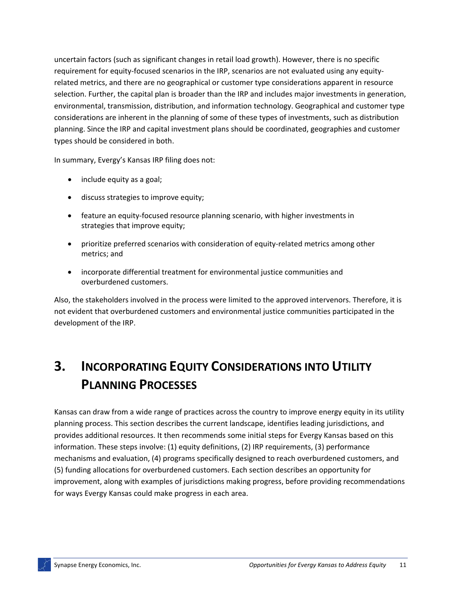uncertain factors (such as significant changes in retail load growth). However, there is no specific requirement for equity-focused scenarios in the IRP, scenarios are not evaluated using any equityrelated metrics, and there are no geographical or customer type considerations apparent in resource selection. Further, the capital plan is broader than the IRP and includes major investments in generation, environmental, transmission, distribution, and information technology. Geographical and customer type considerations are inherent in the planning of some of these types of investments, such as distribution planning. Since the IRP and capital investment plans should be coordinated, geographies and customer types should be considered in both.

In summary, Evergy's Kansas IRP filing does not:

- include equity as a goal;
- discuss strategies to improve equity;
- feature an equity-focused resource planning scenario, with higher investments in strategies that improve equity;
- prioritize preferred scenarios with consideration of equity-related metrics among other metrics; and
- incorporate differential treatment for environmental justice communities and overburdened customers.

Also, the stakeholders involved in the process were limited to the approved intervenors. Therefore, it is not evident that overburdened customers and environmental justice communities participated in the development of the IRP.

# **3. INCORPORATING EQUITY CONSIDERATIONS INTO UTILITY PLANNING PROCESSES**

Kansas can draw from a wide range of practices across the country to improve energy equity in its utility planning process. This section describes the current landscape, identifies leading jurisdictions, and provides additional resources. It then recommends some initial steps for Evergy Kansas based on this information. These steps involve: (1) equity definitions, (2) IRP requirements, (3) performance mechanisms and evaluation, (4) programs specifically designed to reach overburdened customers, and (5) funding allocations for overburdened customers. Each section describes an opportunity for improvement, along with examples of jurisdictions making progress, before providing recommendations for ways Evergy Kansas could make progress in each area.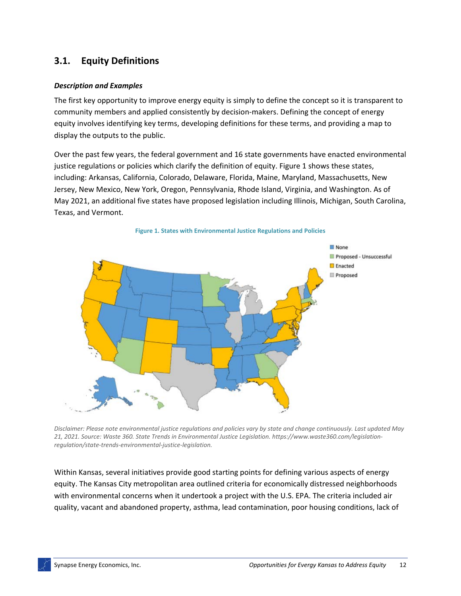# **3.1. Equity Definitions**

### *Description and Examples*

The first key opportunity to improve energy equity is simply to define the concept so it is transparent to community members and applied consistently by decision-makers. Defining the concept of energy equity involves identifying key terms, developing definitions for these terms, and providing a map to display the outputs to the public.

Over the past few years, the federal government and 16 state governments have enacted environmental justice regulations or policies which clarify the definition of equity. Figure 1 shows these states, including: Arkansas, California, Colorado, Delaware, Florida, Maine, Maryland, Massachusetts, New Jersey, New Mexico, New York, Oregon, Pennsylvania, Rhode Island, Virginia, and Washington. As of May 2021, an additional five states have proposed legislation including Illinois, Michigan, South Carolina, Texas, and Vermont.



*Disclaimer: Please note environmental justice regulations and policies vary by state and change continuously. Last updated May 21, 2021. Source: Waste 360. State Trends in Environmental Justice Legislation. https://www.waste360.com/legislationregulation/state-trends-environmental-justice-legislation.*

Within Kansas, several initiatives provide good starting points for defining various aspects of energy equity. The Kansas City metropolitan area outlined criteria for economically distressed neighborhoods with environmental concerns when it undertook a project with the U.S. EPA. The criteria included air quality, vacant and abandoned property, asthma, lead contamination, poor housing conditions, lack of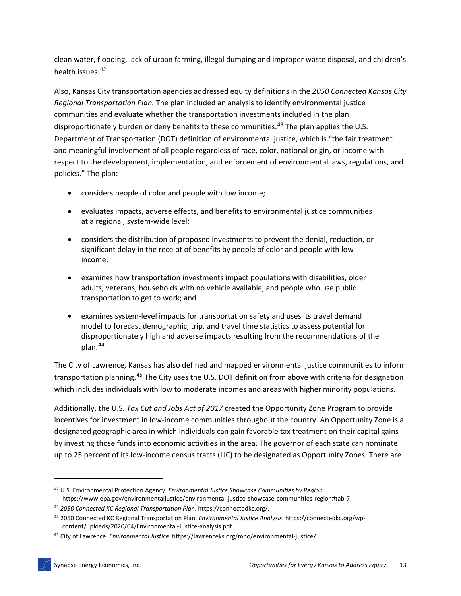clean water, flooding, lack of urban farming, illegal dumping and improper waste disposal, and children's health issues.<sup>[42](#page-17-0)</sup>

Also, Kansas City transportation agencies addressed equity definitions in the *2050 Connected Kansas City Regional Transportation Plan.* The plan included an analysis to identify environmental justice communities and evaluate whether the transportation investments included in the plan disproportionately burden or deny benefits to these communities.<sup>[43](#page-17-1)</sup> The plan applies the U.S. Department of Transportation (DOT) definition of environmental justice, which is "the fair treatment and meaningful involvement of all people regardless of race, color, national origin, or income with respect to the development, implementation, and enforcement of environmental laws, regulations, and policies." The plan:

- considers people of color and people with low income;
- evaluates impacts, adverse effects, and benefits to environmental justice communities at a regional, system-wide level;
- considers the distribution of proposed investments to prevent the denial, reduction, or significant delay in the receipt of benefits by people of color and people with low income;
- examines how transportation investments impact populations with disabilities, older adults, veterans, households with no vehicle available, and people who use public transportation to get to work; and
- examines system-level impacts for transportation safety and uses its travel demand model to forecast demographic, trip, and travel time statistics to assess potential for disproportionately high and adverse impacts resulting from the recommendations of the plan.[44](#page-17-2)

The City of Lawrence, Kansas has also defined and mapped environmental justice communities to inform transportation planning.<sup>[45](#page-17-3)</sup> The City uses the U.S. DOT definition from above with criteria for designation which includes individuals with low to moderate incomes and areas with higher minority populations.

Additionally, the U.S. *Tax Cut and Jobs Act of 2017* created the Opportunity Zone Program to provide incentives for investment in low-income communities throughout the country. An Opportunity Zone is a designated geographic area in which individuals can gain favorable tax treatment on their capital gains by investing those funds into economic activities in the area. The governor of each state can nominate up to 25 percent of its low-income census tracts (LIC) to be designated as Opportunity Zones. There are

<span id="page-17-0"></span><sup>42</sup> U.S. Environmental Protection Agency. *Environmental Justice Showcase Communities by Region*. https://www.epa.gov/environmentaljustice/environmental-justice-showcase-communities-region#tab-7.

<span id="page-17-1"></span><sup>43</sup> *2050 Connected KC Regional Transportation Plan*. https://connectedkc.org/.

<span id="page-17-2"></span><sup>44</sup> 2050 Connected KC Regional Transportation Plan. *Environmental Justice Analysis*. https://connectedkc.org/wpcontent/uploads/2020/04/Environmental-Justice-analysis.pdf.

<span id="page-17-3"></span><sup>45</sup> City of Lawrence. *Environmental Justice*. https://lawrenceks.org/mpo/environmental-justice/.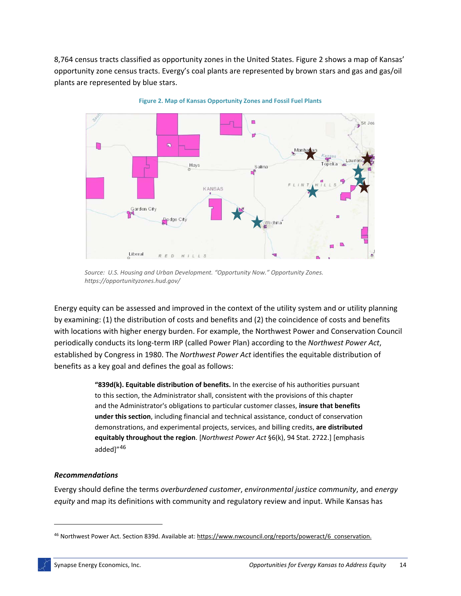8,764 census tracts classified as opportunity zones in the United States. [Figure 2](#page-18-0) shows a map of Kansas' opportunity zone census tracts. Evergy's coal plants are represented by brown stars and gas and gas/oil plants are represented by blue stars.

<span id="page-18-0"></span>

**Figure 2. Map of Kansas Opportunity Zones and Fossil Fuel Plants**

*Source: U.S. Housing and Urban Development. "Opportunity Now." Opportunity Zones. https://opportunityzones.hud.gov/*

Energy equity can be assessed and improved in the context of the utility system and or utility planning by examining: (1) the distribution of costs and benefits and (2) the coincidence of costs and benefits with locations with higher energy burden. For example, the Northwest Power and Conservation Council periodically conducts its long-term IRP (called Power Plan) according to the *Northwest Power Act*, established by Congress in 1980. The *Northwest Power Act* identifies the equitable distribution of benefits as a key goal and defines the goal as follows:

> **"839d(k). Equitable distribution of benefits.** In the exercise of his authorities pursuant to this section, the Administrator shall, consistent with the provisions of this chapter and the Administrator's obligations to particular customer classes, **insure that benefits under this section**, including financial and technical assistance, conduct of conservation demonstrations, and experimental projects, services, and billing credits, **are distributed equitably throughout the region**. [*Northwest Power Act* §6(k), 94 Stat. 2722.] [emphasis added]"<sup>[46](#page-18-1)</sup>

#### *Recommendations*

Evergy should define the terms *overburdened customer*, *environmental justice community*, and *energy equity* and map its definitions with community and regulatory review and input. While Kansas has

<span id="page-18-1"></span><sup>46</sup> Northwest Power Act. Section 839d. Available at[: https://www.nwcouncil.org/reports/poweract/6\\_conservation.](https://www.nwcouncil.org/reports/poweract/6_conservation)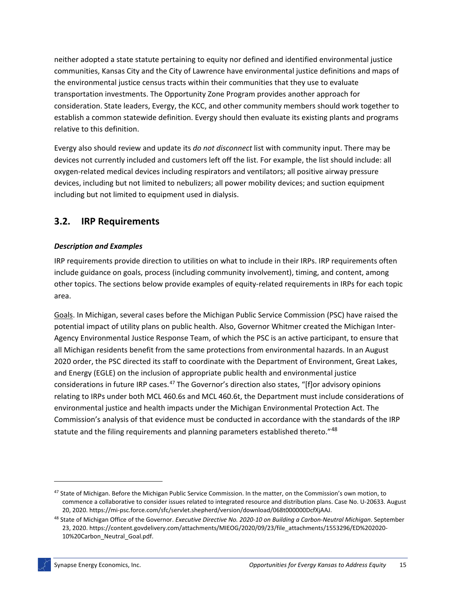neither adopted a state statute pertaining to equity nor defined and identified environmental justice communities, Kansas City and the City of Lawrence have environmental justice definitions and maps of the environmental justice census tracts within their communities that they use to evaluate transportation investments. The Opportunity Zone Program provides another approach for consideration. State leaders, Evergy, the KCC, and other community members should work together to establish a common statewide definition. Evergy should then evaluate its existing plants and programs relative to this definition.

Evergy also should review and update its *do not disconnect* list with community input. There may be devices not currently included and customers left off the list. For example, the list should include: all oxygen-related medical devices including respirators and ventilators; all positive airway pressure devices, including but not limited to nebulizers; all power mobility devices; and suction equipment including but not limited to equipment used in dialysis.

# **3.2. IRP Requirements**

## *Description and Examples*

IRP requirements provide direction to utilities on what to include in their IRPs. IRP requirements often include guidance on goals, process (including community involvement), timing, and content, among other topics. The sections below provide examples of equity-related requirements in IRPs for each topic area.

Goals. In Michigan, several cases before the Michigan Public Service Commission (PSC) have raised the potential impact of utility plans on public health. Also, Governor Whitmer created the Michigan Inter-Agency Environmental Justice Response Team, of which the PSC is an active participant, to ensure that all Michigan residents benefit from the same protections from environmental hazards. In an August 2020 order, the PSC directed its staff to coordinate with the Department of Environment, Great Lakes, and Energy (EGLE) on the inclusion of appropriate public health and environmental justice considerations in future IRP cases.<sup>[47](#page-19-0)</sup> The Governor's direction also states, "[f]or advisory opinions relating to IRPs under both MCL 460.6s and MCL 460.6t, the Department must include considerations of environmental justice and health impacts under the Michigan Environmental Protection Act. The Commission's analysis of that evidence must be conducted in accordance with the standards of the IRP statute and the filing requirements and planning parameters established thereto."<sup>[48](#page-19-1)</sup>

<span id="page-19-0"></span><sup>47</sup> State of Michigan. Before the Michigan Public Service Commission. In the matter, on the Commission's own motion, to commence a collaborative to consider issues related to integrated resource and distribution plans. Case No. U-20633. August 20, 2020. https://mi-psc.force.com/sfc/servlet.shepherd/version/download/068t000000DcfXjAAJ.

<span id="page-19-1"></span><sup>48</sup> State of Michigan Office of the Governor. *Executive Directive No. 2020-10 on Building a Carbon-Neutral Michigan*. September 23, 2020. https://content.govdelivery.com/attachments/MIEOG/2020/09/23/file\_attachments/1553296/ED%202020- 10%20Carbon\_Neutral\_Goal.pdf.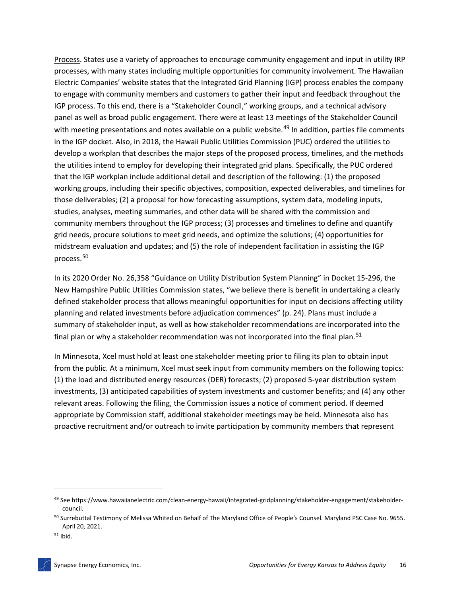Process. States use a variety of approaches to encourage community engagement and input in utility IRP processes, with many states including multiple opportunities for community involvement. The Hawaiian Electric Companies' website states that the Integrated Grid Planning (IGP) process enables the company to engage with community members and customers to gather their input and feedback throughout the IGP process. To this end, there is a "Stakeholder Council," working groups, and a technical advisory panel as well as broad public engagement. There were at least 13 meetings of the Stakeholder Council with meeting presentations and notes available on a public website.<sup>[49](#page-20-0)</sup> In addition, parties file comments in the IGP docket. Also, in 2018, the Hawaii Public Utilities Commission (PUC) [ordered](https://dms.puc.hawaii.gov/dms/DocumentViewer?pid=A1001001A18G12B05711C00464) the utilities to develop a workplan that describes the major steps of the proposed process, timelines, and the methods the utilities intend to employ for developing their integrated grid plans. Specifically, the PUC ordered that the IGP workplan include additional detail and description of the following: (1) the proposed working groups, including their specific objectives, composition, expected deliverables, and timelines for those deliverables; (2) a proposal for how forecasting assumptions, system data, modeling inputs, studies, analyses, meeting summaries, and other data will be shared with the commission and community members throughout the IGP process; (3) processes and timelines to define and quantify grid needs, procure solutions to meet grid needs, and optimize the solutions; (4) opportunities for midstream evaluation and updates; and (5) the role of independent facilitation in assisting the IGP process.[50](#page-20-1)

In its 2020 Order No. 26,358 "Guidance on Utility Distribution System Planning" in Docket 15-296, the New Hampshire Public Utilities Commission states, "we believe there is benefit in undertaking a clearly defined stakeholder process that allows meaningful opportunities for input on decisions affecting utility planning and related investments before adjudication commences" (p. 24). Plans must include a summary of stakeholder input, as well as how stakeholder recommendations are incorporated into the final plan or why a stakeholder recommendation was not incorporated into the final plan.<sup>[51](#page-20-2)</sup>

In Minnesota, Xcel must hold at least one stakeholder meeting prior to filing its plan to obtain input from the public. At a minimum, Xcel must seek input from community members on the following topics: (1) the load and distributed energy resources (DER) forecasts; (2) proposed 5-year distribution system investments, (3) anticipated capabilities of system investments and customer benefits; and (4) any other relevant areas. Following the filing, the Commission issues a notice of comment period. If deemed appropriate by Commission staff, additional stakeholder meetings may be held. Minnesota also has proactive recruitment and/or outreach to invite participation by community members that represent

<span id="page-20-0"></span><sup>49</sup> See https://www.hawaiianelectric.com/clean-energy-hawaii/integrated-gridplanning/stakeholder-engagement/stakeholdercouncil.

<span id="page-20-1"></span><sup>&</sup>lt;sup>50</sup> Surrebuttal Testimony of Melissa Whited on Behalf of The Maryland Office of People's Counsel. Maryland PSC Case No. 9655. April 20, 2021.

<span id="page-20-2"></span><sup>51</sup> Ibid.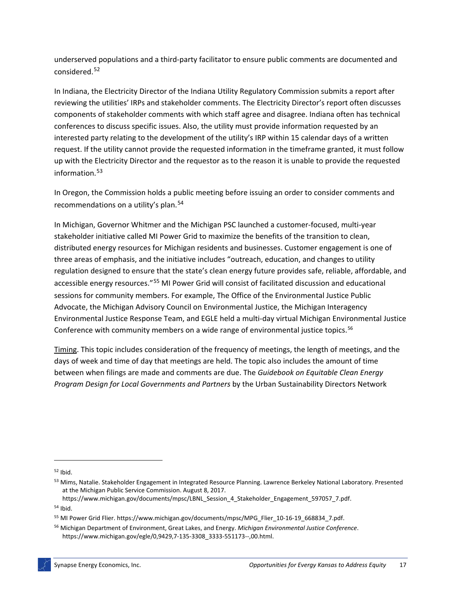underserved populations and a third-party facilitator to ensure public comments are documented and considered.<sup>[52](#page-21-0)</sup>

In Indiana, the Electricity Director of the Indiana Utility Regulatory Commission submits a report after reviewing the utilities' IRPs and stakeholder comments. The Electricity Director's report often discusses components of stakeholder comments with which staff agree and disagree. Indiana often has technical conferences to discuss specific issues. Also, the utility must provide information requested by an interested party relating to the development of the utility's IRP within 15 calendar days of a written request. If the utility cannot provide the requested information in the timeframe granted, it must follow up with the Electricity Director and the requestor as to the reason it is unable to provide the requested information.[53](#page-21-1)

In Oregon, the Commission holds a public meeting before issuing an order to consider comments and recommendations on a utility's plan.<sup>[54](#page-21-2)</sup>

In Michigan, Governor Whitmer and the Michigan PSC launched a customer-focused, multi-year stakeholder initiative called MI Power Grid to maximize the benefits of the transition to clean, distributed energy resources for Michigan residents and businesses. Customer engagement is one of three areas of emphasis, and the initiative includes "outreach, education, and changes to utility regulation designed to ensure that the state's clean energy future provides safe, reliable, affordable, and accessible energy resources."[55](#page-21-3) MI Power Grid will consist of facilitated discussion and educational sessions for community members. For example, The Office of the Environmental Justice Public Advocate, the Michigan Advisory Council on Environmental Justice, the Michigan Interagency Environmental Justice Response Team, and EGLE held a multi-day virtual Michigan Environmental Justice Conference with community members on a wide range of environmental justice topics.<sup>[56](#page-21-4)</sup>

Timing. This topic includes consideration of the frequency of meetings, the length of meetings, and the days of week and time of day that meetings are held. The topic also includes the amount of time between when filings are made and comments are due. The *Guidebook on Equitable Clean Energy Program Design for Local Governments and Partners* by the Urban Sustainability Directors Network

https://www.michigan.gov/documents/mpsc/LBNL Session 4 Stakeholder Engagement 597057 7.pdf. <sup>54</sup> Ibid.

<span id="page-21-0"></span><sup>52</sup> Ibid.

<span id="page-21-1"></span><sup>53</sup> Mims, Natalie. Stakeholder Engagement in Integrated Resource Planning. Lawrence Berkeley National Laboratory. Presented at the Michigan Public Service Commission. August 8, 2017.

<span id="page-21-3"></span><span id="page-21-2"></span><sup>55</sup> MI Power Grid Flier. https://www.michigan.gov/documents/mpsc/MPG\_Flier\_10-16-19\_668834\_7.pdf.

<span id="page-21-4"></span><sup>56</sup> Michigan Department of Environment, Great Lakes, and Energy. *Michigan Environmental Justice Conference*. https://www.michigan.gov/egle/0,9429,7-135-3308\_3333-551173--,00.html.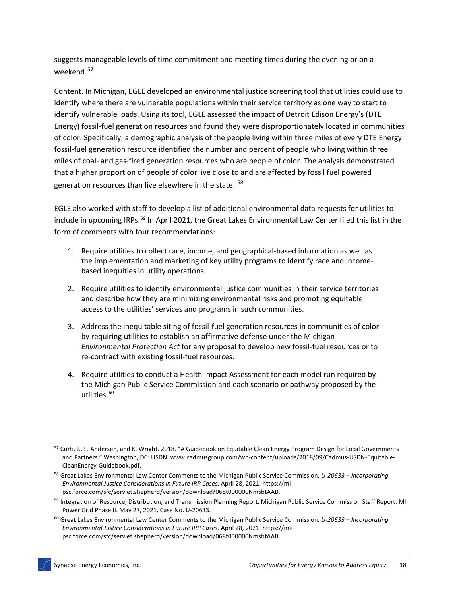suggests manageable levels of time commitment and meeting times during the evening or on a weekend. [57](#page-22-0)

Content. In Michigan, EGLE developed an environmental justice screening tool that utilities could use to identify where there are vulnerable populations within their service territory as one way to start to identify vulnerable loads. Using its tool, EGLE assessed the impact of Detroit Edison Energy's (DTE Energy) fossil-fuel generation resources and found they were disproportionately located in communities of color. Specifically, a demographic analysis of the people living within three miles of every DTE Energy fossil-fuel generation resource identified the number and percent of people who living within three miles of coal- and gas-fired generation resources who are people of color. The analysis demonstrated that a higher proportion of people of color live close to and are affected by fossil fuel powered generation resources than live elsewhere in the state. <sup>[58](#page-22-1)</sup>

EGLE also worked with staff to develop a list of additional environmental data requests for utilities to include in upcoming IRPs.<sup>[59](#page-22-2)</sup> In April 2021, the Great Lakes Environmental Law Center filed this list in the form of comments with four recommendations:

- 1. Require utilities to collect race, income, and geographical-based information as well as the implementation and marketing of key utility programs to identify race and incomebased inequities in utility operations.
- 2. Require utilities to identify environmental justice communities in their service territories and describe how they are minimizing environmental risks and promoting equitable access to the utilities' services and programs in such communities.
- 3. Address the inequitable siting of fossil-fuel generation resources in communities of color by requiring utilities to establish an affirmative defense under the Michigan *Environmental Protection Act* for any proposal to develop new fossil-fuel resources or to re-contract with existing fossil-fuel resources.
- 4. Require utilities to conduct a Health Impact Assessment for each model run required by the Michigan Public Service Commission and each scenario or pathway proposed by the utilities. [60](#page-22-3)

<span id="page-22-0"></span><sup>&</sup>lt;sup>57</sup> Curti, J., F. Andersen, and K. Wright. 2018. "A Guidebook on Equitable Clean Energy Program Design for Local Governments and Partners." Washington, DC: USDN. www.cadmusgroup.com/wp-content/uploads/2018/09/Cadmus-USDN-Equitable-CleanEnergy-Guidebook.pdf.

<span id="page-22-1"></span><sup>58</sup> Great Lakes Environmental Law Center Comments to the Michigan Public Service Commission. *U-20633 – Incorporating Environmental Justice Considerations in Future IRP Cases*. April 28, 2021. https://mipsc.force.com/sfc/servlet.shepherd/version/download/068t000000NmsbtAAB.

<span id="page-22-2"></span><sup>&</sup>lt;sup>59</sup> Integration of Resource, Distribution, and Transmission Planning Report. Michigan Public Service Commission Staff Report. MI Power Grid Phase II. May 27, 2021. Case No. U-20633.

<span id="page-22-3"></span><sup>60</sup> Great Lakes Environmental Law Center Comments to the Michigan Public Service Commission. *U-20633 – Incorporating Environmental Justice Considerations in Future IRP Cases*. April 28, 2021. https://mipsc.force.com/sfc/servlet.shepherd/version/download/068t000000NmsbtAAB.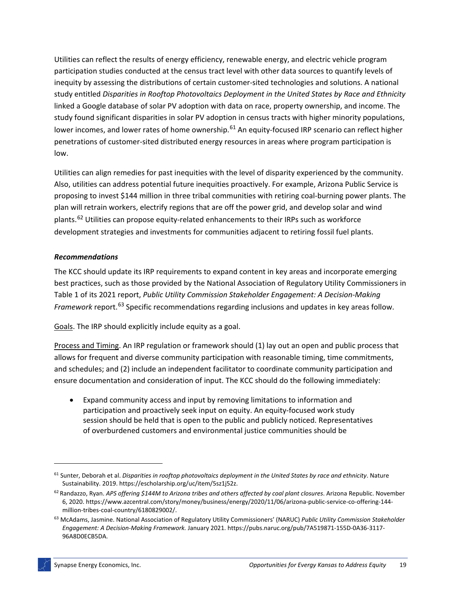Utilities can reflect the results of energy efficiency, renewable energy, and electric vehicle program participation studies conducted at the census tract level with other data sources to quantify levels of inequity by assessing the distributions of certain customer-sited technologies and solutions. A national study entitled *Disparities in Rooftop Photovoltaics Deployment in the United States by Race and Ethnicity* linked a Google database of solar PV adoption with data on race, property ownership, and income. The study found significant disparities in solar PV adoption in census tracts with higher minority populations, lower incomes, and lower rates of home ownership.<sup>[61](#page-23-0)</sup> An equity-focused IRP scenario can reflect higher penetrations of customer-sited distributed energy resources in areas where program participation is low.

Utilities can align remedies for past inequities with the level of disparity experienced by the community. Also, utilities can address potential future inequities proactively. For example, Arizona Public Service is proposing to invest \$144 million in three tribal communities with retiring coal-burning power plants. The plan will retrain workers, electrify regions that are off the power grid, and develop solar and wind plants.<sup>[62](#page-23-1)</sup> Utilities can propose equity-related enhancements to their IRPs such as workforce development strategies and investments for communities adjacent to retiring fossil fuel plants.

## *Recommendations*

The KCC should update its IRP requirements to expand content in key areas and incorporate emerging best practices, such as those provided by the National Association of Regulatory Utility Commissioners in Table 1 of its 2021 report, *Public Utility Commission Stakeholder Engagement: A Decision-Making Framework* report.<sup>[63](#page-23-2)</sup> Specific recommendations regarding inclusions and updates in key areas follow.

Goals. The IRP should explicitly include equity as a goal.

Process and Timing. An IRP regulation or framework should (1) lay out an open and public process that allows for frequent and diverse community participation with reasonable timing, time commitments, and schedules; and (2) include an independent facilitator to coordinate community participation and ensure documentation and consideration of input. The KCC should do the following immediately:

• Expand community access and input by removing limitations to information and participation and proactively seek input on equity. An equity-focused work study session should be held that is open to the public and publicly noticed. Representatives of overburdened customers and environmental justice communities should be

<span id="page-23-0"></span><sup>61</sup> Sunter, Deborah et al. *Disparities in rooftop photovoltaics deployment in the United States by race and ethnicity*. Nature Sustainability. 2019. https://escholarship.org/uc/item/5sz1j52z.

<span id="page-23-1"></span><sup>62</sup> Randazzo, Ryan. *APS offering \$144M to Arizona tribes and others affected by coal plant closures*. Arizona Republic. November 6, 2020. https://www.azcentral.com/story/money/business/energy/2020/11/06/arizona-public-service-co-offering-144 million-tribes-coal-country/6180829002/.

<span id="page-23-2"></span><sup>63</sup> McAdams, Jasmine. National Association of Regulatory Utility Commissioners' (NARUC) *Public Utility Commission Stakeholder Engagement: A Decision-Making Framework.* January 2021. https://pubs.naruc.org/pub/7A519871-155D-0A36-3117- 96A8D0ECB5DA.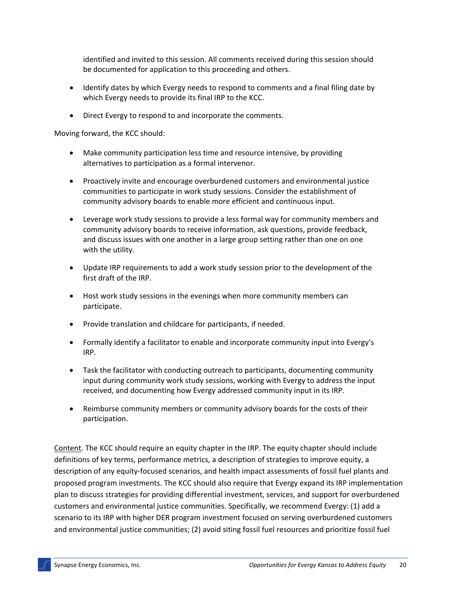identified and invited to this session. All comments received during this session should be documented for application to this proceeding and others.

- Identify dates by which Evergy needs to respond to comments and a final filing date by which Evergy needs to provide its final IRP to the KCC.
- Direct Evergy to respond to and incorporate the comments.

Moving forward, the KCC should:

- Make community participation less time and resource intensive, by providing alternatives to participation as a formal intervenor.
- Proactively invite and encourage overburdened customers and environmental justice communities to participate in work study sessions. Consider the establishment of community advisory boards to enable more efficient and continuous input.
- Leverage work study sessions to provide a less formal way for community members and community advisory boards to receive information, ask questions, provide feedback, and discuss issues with one another in a large group setting rather than one on one with the utility.
- Update IRP requirements to add a work study session prior to the development of the first draft of the IRP.
- Host work study sessions in the evenings when more community members can participate.
- Provide translation and childcare for participants, if needed.
- Formally identify a facilitator to enable and incorporate community input into Evergy's IRP.
- Task the facilitator with conducting outreach to participants, documenting community input during community work study sessions, working with Evergy to address the input received, and documenting how Evergy addressed community input in its IRP.
- Reimburse community members or community advisory boards for the costs of their participation.

Content. The KCC should require an equity chapter in the IRP. The equity chapter should include definitions of key terms, performance metrics, a description of strategies to improve equity, a description of any equity-focused scenarios, and health impact assessments of fossil fuel plants and proposed program investments. The KCC should also require that Evergy expand its IRP implementation plan to discuss strategies for providing differential investment, services, and support for overburdened customers and environmental justice communities. Specifically, we recommend Evergy: (1) add a scenario to its IRP with higher DER program investment focused on serving overburdened customers and environmental justice communities; (2) avoid siting fossil fuel resources and prioritize fossil fuel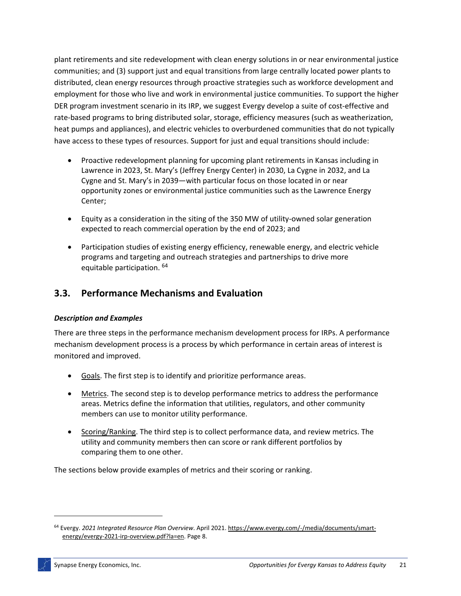plant retirements and site redevelopment with clean energy solutions in or near environmental justice communities; and (3) support just and equal transitions from large centrally located power plants to distributed, clean energy resources through proactive strategies such as workforce development and employment for those who live and work in environmental justice communities. To support the higher DER program investment scenario in its IRP, we suggest Evergy develop a suite of cost-effective and rate-based programs to bring distributed solar, storage, efficiency measures (such as weatherization, heat pumps and appliances), and electric vehicles to overburdened communities that do not typically have access to these types of resources. Support for just and equal transitions should include:

- Proactive redevelopment planning for upcoming plant retirements in Kansas including in Lawrence in 2023, St. Mary's (Jeffrey Energy Center) in 2030, La Cygne in 2032, and La Cygne and St. Mary's in 2039—with particular focus on those located in or near opportunity zones or environmental justice communities such as the Lawrence Energy Center;
- Equity as a consideration in the siting of the 350 MW of utility-owned solar generation expected to reach commercial operation by the end of 2023; and
- Participation studies of existing energy efficiency, renewable energy, and electric vehicle programs and targeting and outreach strategies and partnerships to drive more equitable participation. [64](#page-25-0)

# **3.3. Performance Mechanisms and Evaluation**

## *Description and Examples*

There are three steps in the performance mechanism development process for IRPs. A performance mechanism development process is a process by which performance in certain areas of interest is monitored and improved.

- Goals. The first step is to identify and prioritize performance areas.
- Metrics. The second step is to develop performance metrics to address the performance areas. Metrics define the information that utilities, regulators, and other community members can use to monitor utility performance.
- Scoring/Ranking. The third step is to collect performance data, and review metrics. The utility and community members then can score or rank different portfolios by comparing them to one other.

The sections below provide examples of metrics and their scoring or ranking.

<span id="page-25-0"></span><sup>64</sup> Evergy. *2021 Integrated Resource Plan Overview*. April 2021. [https://www.evergy.com/-/media/documents/smart](https://www.evergy.com/-/media/documents/smart-energy/evergy-2021-irp-overview.pdf?la=en)[energy/evergy-2021-irp-overview.pdf?la=en.](https://www.evergy.com/-/media/documents/smart-energy/evergy-2021-irp-overview.pdf?la=en) Page 8.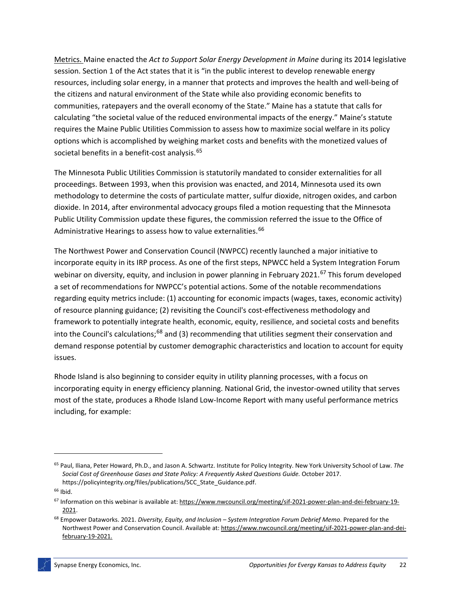Metrics. Maine enacted the *Act to Support Solar Energy Development in Maine* during its 2014 legislative session. Section 1 of the Act states that it is "in the public interest to develop renewable energy resources, including solar energy, in a manner that protects and improves the health and well-being of the citizens and natural environment of the State while also providing economic benefits to communities, ratepayers and the overall economy of the State." Maine has a statute that calls for calculating "the societal value of the reduced environmental impacts of the energy." Maine's statute requires the Maine Public Utilities Commission to assess how to maximize social welfare in its policy options which is accomplished by weighing market costs and benefits with the monetized values of societal benefits in a benefit-cost analysis.<sup>[65](#page-26-0)</sup>

The Minnesota Public Utilities Commission is statutorily mandated to consider externalities for all proceedings. Between 1993, when this provision was enacted, and 2014, Minnesota used its own methodology to determine the costs of particulate matter, sulfur dioxide, nitrogen oxides, and carbon dioxide. In 2014, after environmental advocacy groups filed a motion requesting that the Minnesota Public Utility Commission update these figures, the commission referred the issue to the Office of Administrative Hearings to assess how to value externalities.<sup>[66](#page-26-1)</sup>

The Northwest Power and Conservation Council (NWPCC) recently launched a major initiative to incorporate equity in its IRP process. As one of the first steps, NPWCC held a System Integration Forum webinar on diversity, equity, and inclusion in power planning in February 2021.<sup>[67](#page-26-2)</sup> This forum developed a set of recommendations for NWPCC's potential actions. Some of the notable recommendations regarding equity metrics include: (1) accounting for economic impacts (wages, taxes, economic activity) of resource planning guidance; (2) revisiting the Council's cost-effectiveness methodology and framework to potentially integrate health, economic, equity, resilience, and societal costs and benefits into the Council's calculations;<sup>[68](#page-26-3)</sup> and (3) recommending that utilities segment their conservation and demand response potential by customer demographic characteristics and location to account for equity issues.

Rhode Island is also beginning to consider equity in utility planning processes, with a focus on incorporating equity in energy efficiency planning. National Grid, the investor-owned utility that serves most of the state, produces a Rhode Island Low-Income Report with many useful performance metrics including, for example:

<span id="page-26-0"></span><sup>65</sup> Paul, Iliana, Peter Howard, Ph.D., and Jason A. Schwartz. Institute for Policy Integrity. New York University School of Law. *The Social Cost of Greenhouse Gases and State Policy: A Frequently Asked Questions Guide.* October 2017. https://policyintegrity.org/files/publications/SCC\_State\_Guidance.pdf.

<span id="page-26-1"></span><sup>66</sup> Ibid.

<span id="page-26-2"></span><sup>67</sup> Information on this webinar is available at[: https://www.nwcouncil.org/meeting/sif-2021-power-plan-and-dei-february-19-](https://www.nwcouncil.org/meeting/sif-2021-power-plan-and-dei-february-19-2021) [2021.](https://www.nwcouncil.org/meeting/sif-2021-power-plan-and-dei-february-19-2021)

<span id="page-26-3"></span><sup>68</sup> Empower Dataworks. 2021. *Diversity, Equity, and Inclusion – System Integration Forum Debrief Memo*. Prepared for the Northwest Power and Conservation Council. Available at[: https://www.nwcouncil.org/meeting/sif-2021-power-plan-and-dei](https://www.nwcouncil.org/meeting/sif-2021-power-plan-and-dei-february-19-2021)[february-19-2021.](https://www.nwcouncil.org/meeting/sif-2021-power-plan-and-dei-february-19-2021)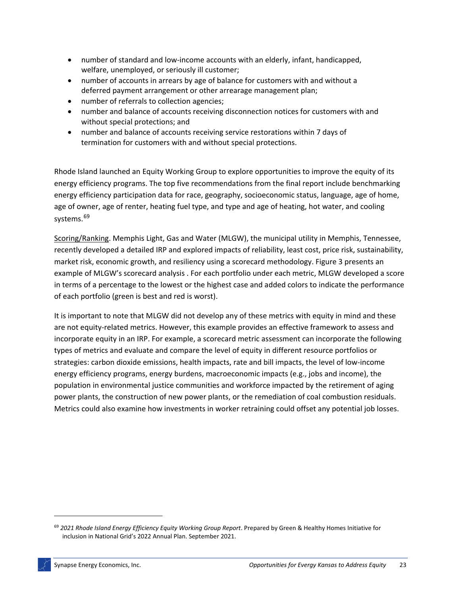- number of standard and low-income accounts with an elderly, infant, handicapped, welfare, unemployed, or seriously ill customer;
- number of accounts in arrears by age of balance for customers with and without a deferred payment arrangement or other arrearage management plan;
- number of referrals to collection agencies;
- number and balance of accounts receiving disconnection notices for customers with and without special protections; and
- number and balance of accounts receiving service restorations within 7 days of termination for customers with and without special protections.

Rhode Island launched an Equity Working Group to explore opportunities to improve the equity of its energy efficiency programs. The top five recommendations from the final report include benchmarking energy efficiency participation data for race, geography, socioeconomic status, language, age of home, age of owner, age of renter, heating fuel type, and type and age of heating, hot water, and cooling systems.<sup>[69](#page-27-0)</sup>

Scoring/Ranking. Memphis Light, Gas and Water (MLGW), the municipal utility in Memphis, Tennessee, recently developed a detailed IRP and explored impacts of reliability, least cost, price risk, sustainability, market risk, economic growth, and resiliency using a scorecard methodology. [Figure 3](#page-28-0) presents an example of MLGW's scorecard analysis . For each portfolio under each metric, MLGW developed a score in terms of a percentage to the lowest or the highest case and added colors to indicate the performance of each portfolio (green is best and red is worst).

It is important to note that MLGW did not develop any of these metrics with equity in mind and these are not equity-related metrics. However, this example provides an effective framework to assess and incorporate equity in an IRP. For example, a scorecard metric assessment can incorporate the following types of metrics and evaluate and compare the level of equity in different resource portfolios or strategies: carbon dioxide emissions, health impacts, rate and bill impacts, the level of low-income energy efficiency programs, energy burdens, macroeconomic impacts (e.g., jobs and income), the population in environmental justice communities and workforce impacted by the retirement of aging power plants, the construction of new power plants, or the remediation of coal combustion residuals. Metrics could also examine how investments in worker retraining could offset any potential job losses.

<span id="page-27-0"></span><sup>69</sup> *2021 Rhode Island Energy Efficiency Equity Working Group Report*. Prepared by Green & Healthy Homes Initiative for inclusion in National Grid's 2022 Annual Plan. September 2021.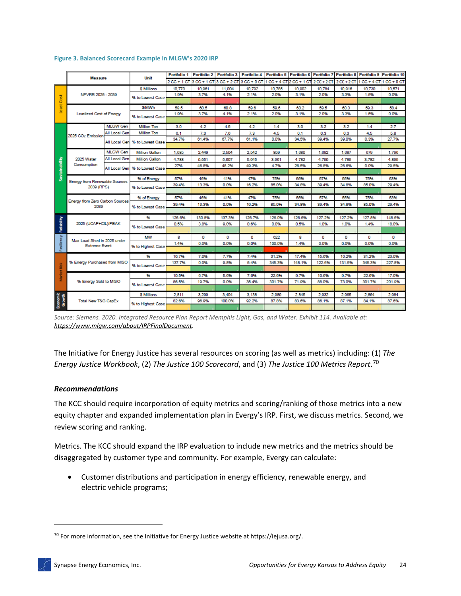|                       |                                                     |                 |                       | Portfolio 1 | <b>Portfolio 2</b>                                                                                                      | Portfolio 3 | Portfolio 4 |        |        |        |        | Portfolio 5 Portfolio 6 Portfolio 7 Portfolio 8 Portfolio 9 Portfolio 10 |        |
|-----------------------|-----------------------------------------------------|-----------------|-----------------------|-------------|-------------------------------------------------------------------------------------------------------------------------|-------------|-------------|--------|--------|--------|--------|--------------------------------------------------------------------------|--------|
|                       | <b>Measure</b>                                      | Unit            |                       |             | 2 CC + 1 CT 3 CC + 1 CT 3 CC + 2 CT 3 CC + 0 CT 1 CC + 4 CT 2 CC + 1 CT 2 CC + 2 CT 2 CC + 2 CT 1 CC + 4 CT 1 CC + 0 CT |             |             |        |        |        |        |                                                                          |        |
|                       |                                                     |                 | <b>\$ Millions</b>    | 10,770      | 10,961                                                                                                                  | 11.004      | 10.792      | 10.785 | 10,902 | 10.784 | 10,916 | 10.730                                                                   | 10,571 |
| Least Cost            | NPVRR 2025 - 2039                                   |                 | % to Lowest Case      | 1.9%        | 3.7%                                                                                                                    | 4.1%        | 2.1%        | 2.0%   | 3.1%   | 2.0%   | 3.3%   | 1.5%                                                                     | 0.0%   |
|                       |                                                     |                 |                       |             |                                                                                                                         |             |             |        |        |        |        |                                                                          |        |
|                       | <b>Levelized Cost of Energy</b>                     |                 | S/MWh                 | 59.5        | 60.5                                                                                                                    | 60.8        | 59.6        | 59.6   | 60.2   | 59.5   | 60.3   | 59.3                                                                     | 58.4   |
|                       |                                                     |                 | % to Lowest Case      | 1.9%        | 3.7%                                                                                                                    | 4.1%        | 2.1%        | 2.0%   | 3.1%   | 2.0%   | 3.3%   | 1.5%                                                                     | 0.0%   |
|                       |                                                     |                 |                       |             |                                                                                                                         |             |             |        |        |        |        |                                                                          |        |
|                       |                                                     | <b>MLGW Gen</b> | <b>Million Ton</b>    | 3.0         | 4.2                                                                                                                     | 4.5         | 4.2         | 1.4    | 3.0    | 3.2    | 3.2    | 1.4                                                                      | 2.7    |
|                       | 2025 CO <sub>2</sub> Emission                       | All Local Gen   | <b>Million Ton</b>    | 6.1         | 7.3                                                                                                                     | 7.6         | 7.3         | 4.5    | 6.1    | 6.3    | 6.3    | 4.5                                                                      | 5.8    |
|                       |                                                     |                 | % to Lowest Case      | 34.7%       | 61.4%                                                                                                                   | 67.7%       | 61.1%       | 0.0%   | 34.5%  | 39.4%  | 39.0%  | 0.3%                                                                     | 27.7%  |
|                       |                                                     | All Local Gen   |                       |             |                                                                                                                         |             |             |        |        |        |        |                                                                          |        |
|                       |                                                     | <b>MLGW Gen</b> | <b>Million Gallon</b> | 1.685       | 2.449                                                                                                                   | 2.504       | 2.542       | 859    | 1.680  | 1.692  | 1.687  | 679                                                                      | 1,796  |
|                       | 2025 Water                                          | All Local Gen   | <b>Million Gallon</b> | 4,788       | 5.551                                                                                                                   | 5.607       | 5.645       | 3.961  | 4,782  | 4,795  | 4,789  | 3,782                                                                    | 4.899  |
|                       | Consumption                                         |                 | % to Lowest Case      | 27%         | 46.8%                                                                                                                   | 48.2%       | 49.3%       | 4.7%   | 26.5%  | 26.8%  | 26.6%  | 0.0%                                                                     | 29.5%  |
| Sustainability        |                                                     | All Local Gen   |                       |             |                                                                                                                         |             |             |        |        |        |        |                                                                          |        |
|                       | Energy from Renewable Sources<br>2039 (RPS)         |                 | % of Energy           | 57%         | 46%                                                                                                                     | 41%         | 47%         | 75%    | 55%    | 57%    | 55%    | 75%                                                                      | 53%    |
|                       |                                                     |                 | % to Lowest Case      | 39.4%       | 13.3%                                                                                                                   | 0.0%        | 16.2%       | 85.0%  | 34.8%  | 39.4%  | 34.8%  | 85.0%                                                                    | 29.4%  |
|                       |                                                     |                 |                       |             |                                                                                                                         |             |             |        |        |        |        |                                                                          |        |
|                       | Energy from Zero Carbon Sources<br>2039             |                 | % of Energy           | 57%         | 46%                                                                                                                     | 41%         | 47%         | 75%    | 55%    | 57%    | 55%    | 75%                                                                      | 53%    |
|                       |                                                     |                 |                       | 39.4%       | 13.3%                                                                                                                   | 0.0%        | 16.2%       | 85.0%  | 34.8%  | 39.4%  | 34.8%  | 85.0%                                                                    | 29.4%  |
|                       |                                                     |                 | % to Lowest Case      |             |                                                                                                                         |             |             |        |        |        |        |                                                                          |        |
| Reliability           | 2025 (UCAP+CIL)/PEAK                                |                 | 96                    | 126.6%      | 130.8%                                                                                                                  | 137.3%      | 126.7%      | 126.0% | 126.6% | 127.2% | 127.2% | 127.8%                                                                   | 148.6% |
|                       |                                                     |                 | % to Lowest Case      | 0.5%        | 3.8%                                                                                                                    | 9.0%        | 0.6%        | 0.0%   | 0.5%   | 1.0%   | 1.0%   | 1.4%                                                                     | 18.0%  |
|                       |                                                     |                 |                       |             |                                                                                                                         |             |             |        |        |        |        |                                                                          |        |
| Res                   |                                                     |                 | MW                    | 8           | 0                                                                                                                       | o           | o           | 622    | 8      | 0      | o      | 0                                                                        | 0      |
|                       | Max Load Shed in 2025 under<br><b>Extreme Event</b> |                 | % to Highest Case     | 1.4%        | 0.0%                                                                                                                    | 0.0%        | 0.0%        | 100.0% | 1.4%   | 0.0%   | 0.0%   | 0.0%                                                                     | 0.0%   |
|                       |                                                     |                 |                       |             |                                                                                                                         |             |             |        |        |        |        |                                                                          |        |
| Risk<br><b>Market</b> | % Energy Purchased from MISO                        |                 | 96                    | 16.7%       | 7.0%                                                                                                                    | 7.7%        | 7.4%        | 31.2%  | 17.4%  | 15.6%  | 16.2%  | 31.2%                                                                    | 23.0%  |
|                       |                                                     |                 | % to Lowest Case      | 137.7%      | 0.0%                                                                                                                    | 9.8%        | 5.4%        | 345.3% | 148.1% | 122.6% | 131.5% | 345.3%                                                                   | 227.8% |
|                       |                                                     |                 |                       |             |                                                                                                                         |             |             |        |        |        |        |                                                                          |        |
|                       | % Energy Sold to MISO                               |                 | 96                    | 10.5%       | 6.7%                                                                                                                    | 5.6%        | 7.6%        | 22.6%  | 9.7%   | 10.6%  | 9.7%   | 22.6%                                                                    | 17.0%  |
|                       |                                                     |                 | % to Lowest Case      | 86.5%       | 19.7%                                                                                                                   | 0.0%        | 35.4%       | 301.7% | 71.9%  | 88.0%  | 73.0%  | 301.7%                                                                   | 201.9% |
|                       |                                                     |                 |                       |             |                                                                                                                         |             |             |        |        |        |        |                                                                          |        |
|                       | <b>Total New T&amp;G CapEx</b>                      |                 | <b>\$ Millions</b>    | 2.811       | 3,299                                                                                                                   | 3,404       | 3,138       | 2,989  | 2.845  | 2,932  | 2,965  | 2,864                                                                    | 2,984  |
| Economic<br>Growth    |                                                     |                 | % to Highest Case     | 82.6%       | 96.9%                                                                                                                   | 100.0%      | 92.2%       | 87.8%  | 83.6%  | 86.1%  | 87.1%  | 84.1%                                                                    | 87.6%  |
|                       |                                                     |                 |                       |             |                                                                                                                         |             |             |        |        |        |        |                                                                          |        |

#### <span id="page-28-0"></span>**Figure 3. Balanced Scorecard Example in MLGW's 2020 IRP**

*Source: Siemens. 2020. Integrated Resource Plan Report Memphis Light, Gas, and Water. Exhibit 114. Available at: [https://www.mlgw.com/about/IRPFinalDocument.](https://www.mlgw.com/about/IRPFinalDocument)* 

The Initiative for Energy Justice has several resources on scoring (as well as metrics) including: (1) *The Energy Justice Workbook*, (2) *The Justice 100 Scorecard*, and (3) *The Justice 100 Metrics Report*. [70](#page-28-1)

### *Recommendations*

The KCC should require incorporation of equity metrics and scoring/ranking of those metrics into a new equity chapter and expanded implementation plan in Evergy's IRP. First, we discuss metrics. Second, we review scoring and ranking.

Metrics. The KCC should expand the IRP evaluation to include new metrics and the metrics should be disaggregated by customer type and community. For example, Evergy can calculate:

• Customer distributions and participation in energy efficiency, renewable energy, and electric vehicle programs;

<span id="page-28-1"></span> $70$  For more information, see the Initiative for Energy Justice website at https://iejusa.org/.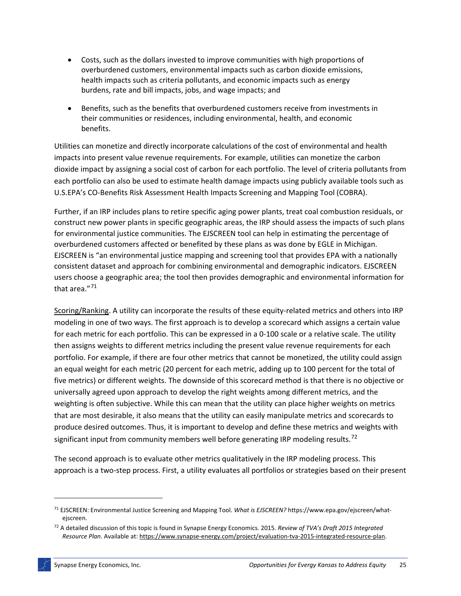- Costs, such as the dollars invested to improve communities with high proportions of overburdened customers, environmental impacts such as carbon dioxide emissions, health impacts such as criteria pollutants, and economic impacts such as energy burdens, rate and bill impacts, jobs, and wage impacts; and
- Benefits, such as the benefits that overburdened customers receive from investments in their communities or residences, including environmental, health, and economic benefits.

Utilities can monetize and directly incorporate calculations of the cost of environmental and health impacts into present value revenue requirements. For example, utilities can monetize the carbon dioxide impact by assigning a social cost of carbon for each portfolio. The level of criteria pollutants from each portfolio can also be used to estimate health damage impacts using publicly available tools such as U.S.EPA's CO-Benefits Risk Assessment Health Impacts Screening and Mapping Tool (COBRA).

Further, if an IRP includes plans to retire specific aging power plants, treat coal combustion residuals, or construct new power plants in specific geographic areas, the IRP should assess the impacts of such plans for environmental justice communities. The EJSCREEN tool can help in estimating the percentage of overburdened customers affected or benefited by these plans as was done by EGLE in Michigan. EJSCREEN is "an environmental justice mapping and screening tool that provides EPA with a nationally consistent dataset and approach for combining environmental and demographic indicators. EJSCREEN users choose a geographic area; the tool then provides demographic and environmental information for that area."[71](#page-29-0)

Scoring/Ranking. A utility can incorporate the results of these equity-related metrics and others into IRP modeling in one of two ways. The first approach is to develop a scorecard which assigns a certain value for each metric for each portfolio. This can be expressed in a 0-100 scale or a relative scale. The utility then assigns weights to different metrics including the present value revenue requirements for each portfolio. For example, if there are four other metrics that cannot be monetized, the utility could assign an equal weight for each metric (20 percent for each metric, adding up to 100 percent for the total of five metrics) or different weights. The downside of this scorecard method is that there is no objective or universally agreed upon approach to develop the right weights among different metrics, and the weighting is often subjective. While this can mean that the utility can place higher weights on metrics that are most desirable, it also means that the utility can easily manipulate metrics and scorecards to produce desired outcomes. Thus, it is important to develop and define these metrics and weights with significant input from community members well before generating IRP modeling results.<sup>[72](#page-29-1)</sup>

The second approach is to evaluate other metrics qualitatively in the IRP modeling process. This approach is a two-step process. First, a utility evaluates all portfolios or strategies based on their present

<span id="page-29-0"></span><sup>71</sup> EJSCREEN: Environmental Justice Screening and Mapping Tool. *What is EJSCREEN?* https://www.epa.gov/ejscreen/whatejscreen.

<span id="page-29-1"></span><sup>72</sup> A detailed discussion of this topic is found in Synapse Energy Economics. 2015. *Review of TVA's Draft 2015 Integrated Resource Plan*. Available at[: https://www.synapse-energy.com/project/evaluation-tva-2015-integrated-resource-plan.](https://www.synapse-energy.com/project/evaluation-tva-2015-integrated-resource-plan)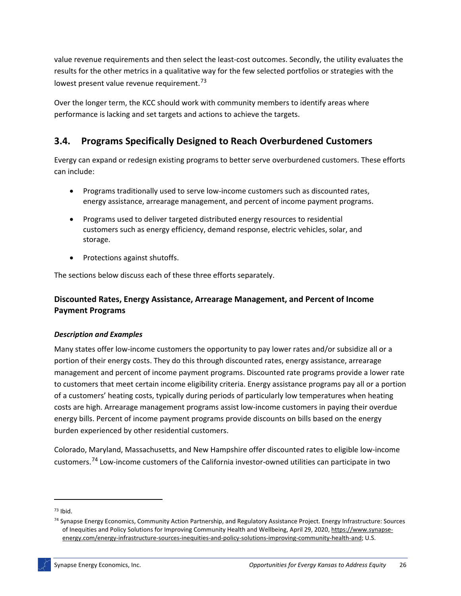value revenue requirements and then select the least-cost outcomes. Secondly, the utility evaluates the results for the other metrics in a qualitative way for the few selected portfolios or strategies with the lowest present value revenue requirement.<sup>[73](#page-30-0)</sup>

Over the longer term, the KCC should work with community members to identify areas where performance is lacking and set targets and actions to achieve the targets.

# **3.4. Programs Specifically Designed to Reach Overburdened Customers**

Evergy can expand or redesign existing programs to better serve overburdened customers. These efforts can include:

- Programs traditionally used to serve low-income customers such as discounted rates, energy assistance, arrearage management, and percent of income payment programs.
- Programs used to deliver targeted distributed energy resources to residential customers such as energy efficiency, demand response, electric vehicles, solar, and storage.
- Protections against shutoffs.

The sections below discuss each of these three efforts separately.

## **Discounted Rates, Energy Assistance, Arrearage Management, and Percent of Income Payment Programs**

### *Description and Examples*

Many states offer low-income customers the opportunity to pay lower rates and/or subsidize all or a portion of their energy costs. They do this through discounted rates, energy assistance, arrearage management and percent of income payment programs. Discounted rate programs provide a lower rate to customers that meet certain income eligibility criteria. Energy assistance programs pay all or a portion of a customers' heating costs, typically during periods of particularly low temperatures when heating costs are high. Arrearage management programs assist low-income customers in paying their overdue energy bills. Percent of income payment programs provide discounts on bills based on the energy burden experienced by other residential customers.

Colorado, Maryland, Massachusetts, and New Hampshire offer discounted rates to eligible low-income customers.[74](#page-30-1) Low-income customers of the California investor-owned utilities can participate in two

<span id="page-30-0"></span> $73$  Ibid.

<span id="page-30-1"></span><sup>74</sup> Synapse Energy Economics, Community Action Partnership, and Regulatory Assistance Project. Energy Infrastructure: Sources of Inequities and Policy Solutions for Improving Community Health and Wellbeing, April 29, 2020[, https://www.synapse](https://www.synapse-energy.com/energy-infrastructure-sources-inequities-and-policy-solutions-improving-community-health-and)[energy.com/energy-infrastructure-sources-inequities-and-policy-solutions-improving-community-health-and;](https://www.synapse-energy.com/energy-infrastructure-sources-inequities-and-policy-solutions-improving-community-health-and) U.S.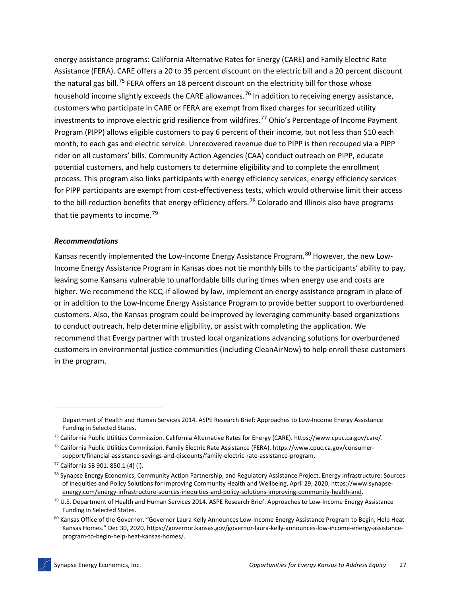energy assistance programs: California Alternative Rates for Energy (CARE) and Family Electric Rate Assistance (FERA). CARE offers a 20 to 35 percent discount on the electric bill and a 20 percent discount the natural gas bill.<sup>[75](#page-31-0)</sup> FERA offers an 18 percent discount on the electricity bill for those whose household income slightly exceeds the CARE allowances.<sup>[76](#page-31-1)</sup> In addition to receiving energy assistance, customers who participate in CARE or FERA are exempt from fixed charges for securitized utility investments to improve electric grid resilience from wildfires.<sup>[77](#page-31-2)</sup> Ohio's Percentage of Income Payment Program (PIPP) allows eligible customers to pay 6 percent of their income, but not less than \$10 each month, to each gas and electric service. Unrecovered revenue due to PIPP is then recouped via a PIPP rider on all customers' bills. Community Action Agencies (CAA) conduct outreach on PIPP, educate potential customers, and help customers to determine eligibility and to complete the enrollment process. This program also links participants with energy efficiency services; energy efficiency services for PIPP participants are exempt from cost-effectiveness tests, which would otherwise limit their access to the bill-reduction benefits that energy efficiency offers.<sup>[78](#page-31-3)</sup> Colorado and Illinois also have programs that tie payments to income.<sup>[79](#page-31-4)</sup>

#### *Recommendations*

Kansas recently implemented the Low-Income Energy Assistance Program.<sup>[80](#page-31-5)</sup> However, the new Low-Income Energy Assistance Program in Kansas does not tie monthly bills to the participants' ability to pay, leaving some Kansans vulnerable to unaffordable bills during times when energy use and costs are higher. We recommend the KCC, if allowed by law, implement an energy assistance program in place of or in addition to the Low-Income Energy Assistance Program to provide better support to overburdened customers. Also, the Kansas program could be improved by leveraging community-based organizations to conduct outreach, help determine eligibility, or assist with completing the application. We recommend that Evergy partner with trusted local organizations advancing solutions for overburdened customers in environmental justice communities (including CleanAirNow) to help enroll these customers in the program.

Department of Health and Human Services 2014. ASPE Research Brief: Approaches to Low-Income Energy Assistance Funding in Selected States.

<span id="page-31-0"></span><sup>75</sup> California Public Utilities Commission. California Alternative Rates for Energy (CARE). https://www.cpuc.ca.gov/care/.

<span id="page-31-1"></span><sup>76</sup> California Public Utilities Commission. Family Electric Rate Assistance (FERA). https://www.cpuc.ca.gov/consumersupport/financial-assistance-savings-and-discounts/family-electric-rate-assistance-program.

<span id="page-31-2"></span><sup>77</sup> California SB 901. 850.1 (4) (i).

<span id="page-31-3"></span><sup>&</sup>lt;sup>78</sup> Synapse Energy Economics, Community Action Partnership, and Regulatory Assistance Project. Energy Infrastructure: Sources of Inequities and Policy Solutions for Improving Community Health and Wellbeing, April 29, 2020[, https://www.synapse](https://www.synapse-energy.com/energy-infrastructure-sources-inequities-and-policy-solutions-improving-community-health-and)[energy.com/energy-infrastructure-sources-inequities-and-policy-solutions-improving-community-health-and.](https://www.synapse-energy.com/energy-infrastructure-sources-inequities-and-policy-solutions-improving-community-health-and)

<span id="page-31-4"></span><sup>79</sup> U.S. Department of Health and Human Services 2014. ASPE Research Brief: Approaches to Low-Income Energy Assistance Funding in Selected States.

<span id="page-31-5"></span><sup>80</sup> Kansas Office of the Governor. "Governor Laura Kelly Announces Low-Income Energy Assistance Program to Begin, Help Heat Kansas Homes." Dec 30, 2020. https://governor.kansas.gov/governor-laura-kelly-announces-low-income-energy-assistanceprogram-to-begin-help-heat-kansas-homes/.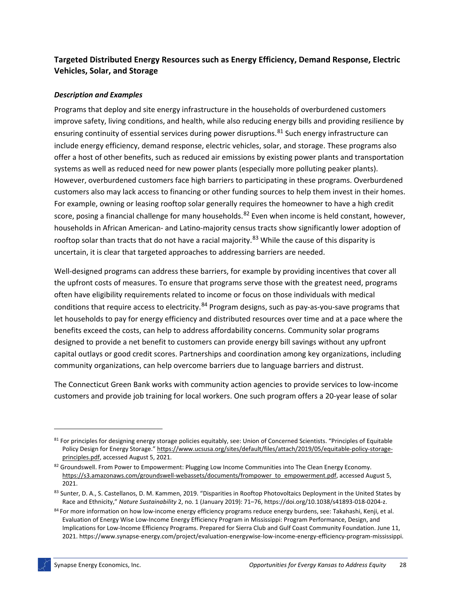## **Targeted Distributed Energy Resources such as Energy Efficiency, Demand Response, Electric Vehicles, Solar, and Storage**

## *Description and Examples*

Programs that deploy and site energy infrastructure in the households of overburdened customers improve safety, living conditions, and health, while also reducing energy bills and providing resilience by ensuring continuity of essential services during power disruptions.<sup>[81](#page-32-0)</sup> Such energy infrastructure can include energy efficiency, demand response, electric vehicles, solar, and storage. These programs also offer a host of other benefits, such as reduced air emissions by existing power plants and transportation systems as well as reduced need for new power plants (especially more polluting peaker plants). However, overburdened customers face high barriers to participating in these programs. Overburdened customers also may lack access to financing or other funding sources to help them invest in their homes. For example, owning or leasing rooftop solar generally requires the homeowner to have a high credit score, posing a financial challenge for many households. <sup>[82](#page-32-1)</sup> Even when income is held constant, however, households in African American- and Latino-majority census tracts show significantly lower adoption of rooftop solar than tracts that do not have a racial majority.<sup>[83](#page-32-2)</sup> While the cause of this disparity is uncertain, it is clear that targeted approaches to addressing barriers are needed.

Well-designed programs can address these barriers, for example by providing incentives that cover all the upfront costs of measures. To ensure that programs serve those with the greatest need, programs often have eligibility requirements related to income or focus on those individuals with medical conditions that require access to electricity.<sup>[84](#page-32-3)</sup> Program designs, such as pay-as-you-save programs that let households to pay for energy efficiency and distributed resources over time and at a pace where the benefits exceed the costs, can help to address affordability concerns. Community solar programs designed to provide a net benefit to customers can provide energy bill savings without any upfront capital outlays or good credit scores. Partnerships and coordination among key organizations, including community organizations, can help overcome barriers due to language barriers and distrust.

The Connecticut Green Bank works with community action agencies to provide services to low-income customers and provide job training for local workers. One such program offers a 20-year lease of solar

<span id="page-32-0"></span><sup>&</sup>lt;sup>81</sup> For principles for designing energy storage policies equitably, see: Union of Concerned Scientists. "Principles of Equitable Policy Design for Energy Storage.[" https://www.ucsusa.org/sites/default/files/attach/2019/05/equitable-policy-storage](https://www.ucsusa.org/sites/default/files/attach/2019/05/equitable-policy-storage-principles.pdf)[principles.pdf,](https://www.ucsusa.org/sites/default/files/attach/2019/05/equitable-policy-storage-principles.pdf) accessed August 5, 2021.

<span id="page-32-1"></span><sup>82</sup> Groundswell. From Power to Empowerment: Plugging Low Income Communities into The Clean Energy Economy. [https://s3.amazonaws.com/groundswell-webassets/documents/frompower\\_to\\_empowerment.pdf,](https://s3.amazonaws.com/groundswell-webassets/documents/frompower_to_empowerment.pdf) accessed August 5, 2021.

<span id="page-32-2"></span><sup>83</sup> Sunter, D. A., S. Castellanos, D. M. Kammen, 2019. "Disparities in Rooftop Photovoltaics Deployment in the United States by Race and Ethnicity," *Nature Sustainability* 2, no. 1 (January 2019): 71–76, https://doi.org/10.1038/s41893-018-0204-z.

<span id="page-32-3"></span><sup>84</sup> For more information on how low-income energy efficiency programs reduce energy burdens, see: Takahashi, Kenji, et al. Evaluation of Energy Wise Low-Income Energy Efficiency Program in Mississippi: Program Performance, Design, and Implications for Low-Income Efficiency Programs. Prepared for Sierra Club and Gulf Coast Community Foundation. June 11, 2021. https://www.synapse-energy.com/project/evaluation-energywise-low-income-energy-efficiency-program-mississippi.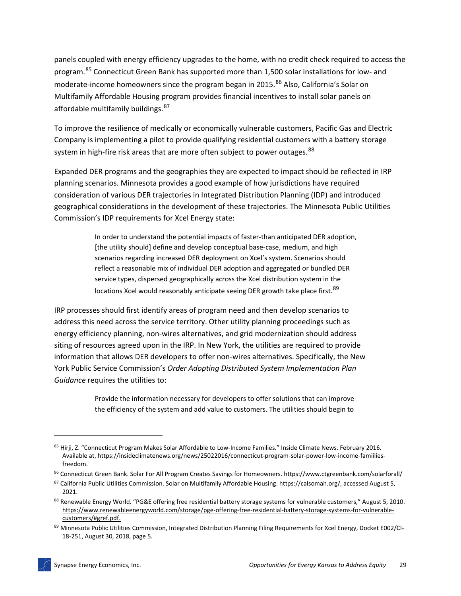panels coupled with energy efficiency upgrades to the home, with no credit check required to access the program.<sup>[85](#page-33-0)</sup> Connecticut Green Bank has supported more than 1,500 solar installations for low- and moderate-income homeowners since the program began in 2015. [86](#page-33-1) Also, California's Solar on Multifamily Affordable Housing program provides financial incentives to install solar panels on affordable multifamily buildings. [87](#page-33-2)

To improve the resilience of medically or economically vulnerable customers, Pacific Gas and Electric Company is implementing a pilot to provide qualifying residential customers with a battery storage system in high-fire risk areas that are more often subject to power outages.<sup>[88](#page-33-3)</sup>

Expanded DER programs and the geographies they are expected to impact should be reflected in IRP planning scenarios. Minnesota provides a good example of how jurisdictions have required consideration of various DER trajectories in Integrated Distribution Planning (IDP) and introduced geographical considerations in the development of these trajectories. The Minnesota Public Utilities Commission's IDP requirements for Xcel Energy state:

> In order to understand the potential impacts of faster-than anticipated DER adoption, [the utility should] define and develop conceptual base-case, medium, and high scenarios regarding increased DER deployment on Xcel's system. Scenarios should reflect a reasonable mix of individual DER adoption and aggregated or bundled DER service types, dispersed geographically across the Xcel distribution system in the locations Xcel would reasonably anticipate seeing DER growth take place first.<sup>[89](#page-33-4)</sup>

IRP processes should first identify areas of program need and then develop scenarios to address this need across the service territory. Other utility planning proceedings such as energy efficiency planning, non-wires alternatives, and grid modernization should address siting of resources agreed upon in the IRP. In New York, the utilities are required to provide information that allows DER developers to offer non-wires alternatives. Specifically, the New York Public Service Commission's *Order Adopting Distributed System Implementation Plan Guidance* requires the utilities to:

> Provide the information necessary for developers to offer solutions that can improve the efficiency of the system and add value to customers. The utilities should begin to

<span id="page-33-0"></span><sup>85</sup> Hirji, Z. "Connecticut Program Makes Solar Affordable to Low-Income Families." Inside Climate News. February 2016. Available at, https://insideclimatenews.org/news/25022016/connecticut-program-solar-power-low-income-famiiliesfreedom.

<span id="page-33-1"></span><sup>86</sup> Connecticut Green Bank. Solar For All Program Creates Savings for Homeowners. https://www.ctgreenbank.com/solarforall/

<span id="page-33-2"></span><sup>87</sup> California Public Utilities Commission. Solar on Multifamily Affordable Housing[. https://calsomah.org/,](https://calsomah.org/) accessed August 5, 2021.

<span id="page-33-3"></span><sup>88</sup> Renewable Energy World. "PG&E offering free residential battery storage systems for vulnerable customers," August 5, 2010. [https://www.renewableenergyworld.com/storage/pge-offering-free-residential-battery-storage-systems-for-vulnerable](https://www.renewableenergyworld.com/storage/pge-offering-free-residential-battery-storage-systems-for-vulnerable-customers/#gref.pdf)[customers/#gref.pdf.](https://www.renewableenergyworld.com/storage/pge-offering-free-residential-battery-storage-systems-for-vulnerable-customers/#gref.pdf)

<span id="page-33-4"></span><sup>89</sup> Minnesota Public Utilities Commission, Integrated Distribution Planning Filing Requirements for Xcel Energy, Docket E002/CI-18-251, August 30, 2018, page 5.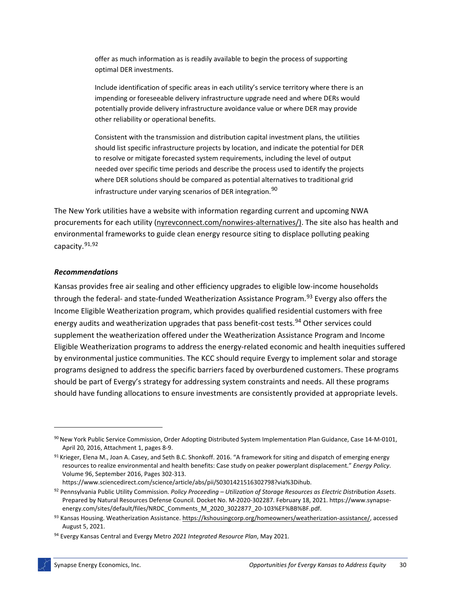offer as much information as is readily available to begin the process of supporting optimal DER investments.

Include identification of specific areas in each utility's service territory where there is an impending or foreseeable delivery infrastructure upgrade need and where DERs would potentially provide delivery infrastructure avoidance value or where DER may provide other reliability or operational benefits.

Consistent with the transmission and distribution capital investment plans, the utilities should list specific infrastructure projects by location, and indicate the potential for DER to resolve or mitigate forecasted system requirements, including the level of output needed over specific time periods and describe the process used to identify the projects where DER solutions should be compared as potential alternatives to traditional grid infrastructure under varying scenarios of DER integration.<sup>[90](#page-34-0)</sup>

The New York utilities have a website with information regarding current and upcoming NWA procurements for each utility [\(nyrevconnect.com/nonwires-alternatives/\)](https://nyrevconnect.com/nonwires-alternatives/). The site also has health and environmental frameworks to guide clean energy resource siting to displace polluting peaking capacity.[91](#page-34-1),[92](#page-34-2)

#### *Recommendations*

Kansas provides free air sealing and other efficiency upgrades to eligible low-income households through the federal- and state-funded Weatherization Assistance Program.<sup>[93](#page-34-3)</sup> Evergy also offers the Income Eligible Weatherization program, which provides qualified residential customers with free energy audits and weatherization upgrades that pass benefit-cost tests.<sup>[94](#page-34-4)</sup> Other services could supplement the weatherization offered under the Weatherization Assistance Program and Income Eligible Weatherization programs to address the energy-related economic and health inequities suffered by environmental justice communities. The KCC should require Evergy to implement solar and storage programs designed to address the specific barriers faced by overburdened customers. These programs should be part of Evergy's strategy for addressing system constraints and needs. All these programs should have funding allocations to ensure investments are consistently provided at appropriate levels.

energy.com/sites/default/files/NRDC\_Comments\_M\_2020\_3022877\_20-103%EF%BB%BF.pdf.

<span id="page-34-0"></span><sup>90</sup> New York Public Service Commission, Order Adopting Distributed System Implementation Plan Guidance, Case 14-M-0101, April 20, 2016, Attachment 1, pages 8-9.

<span id="page-34-1"></span> $91$  Krieger, Elena M., Joan A. Casey, and Seth B.C. Shonkoff. 2016. "A framework for siting and dispatch of emerging energy resources to realize environmental and health benefits: Case study on peaker powerplant displacement." *Energy Policy*. Volume 96, September 2016, Pages 302-313. https://www.sciencedirect.com/science/article/abs/pii/S0301421516302798?via%3Dihub.

<span id="page-34-2"></span><sup>92</sup> Pennsylvania Public Utility Commission. *Policy Proceeding – Utilization of Storage Resources as Electric Distribution Assets*. Prepared by Natural Resources Defense Council. Docket No. M-2020-302287. February 18, 2021. https://www.synapse-

<span id="page-34-3"></span><sup>93</sup> Kansas Housing. Weatherization Assistance[. https://kshousingcorp.org/homeowners/weatherization-assistance/,](https://kshousingcorp.org/homeowners/weatherization-assistance/) accessed August 5, 2021.

<span id="page-34-4"></span><sup>94</sup> Evergy Kansas Central and Evergy Metro *2021 Integrated Resource Plan*, May 2021.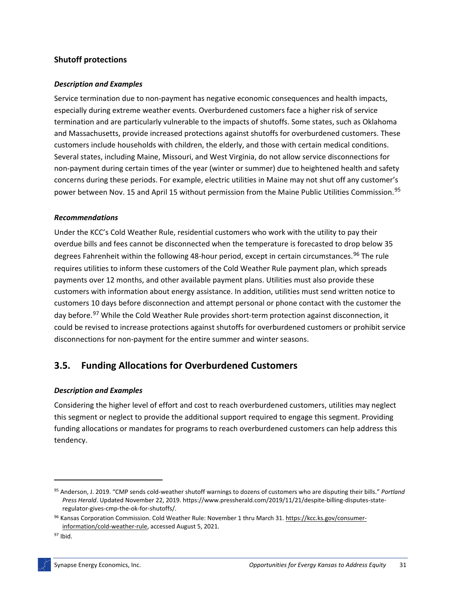## **Shutoff protections**

#### *Description and Examples*

Service termination due to non-payment has negative economic consequences and health impacts, especially during extreme weather events. Overburdened customers face a higher risk of service termination and are particularly vulnerable to the impacts of shutoffs. Some states, such as Oklahoma and Massachusetts, provide increased protections against shutoffs for overburdened customers. These customers include households with children, the elderly, and those with certain medical conditions. Several states, including Maine, Missouri, and West Virginia, do not allow service disconnections for non-payment during certain times of the year (winter or summer) due to heightened health and safety concerns during these periods. For example, electric utilities in Maine may not shut off any customer's power between Nov. 15 and April 15 without permission from the Maine Public Utilities Commission.<sup>[95](#page-35-0)</sup>

#### *Recommendations*

Under the KCC's Cold Weather Rule, residential customers who work with the utility to pay their overdue bills and fees cannot be disconnected when the temperature is forecasted to drop below 35 degrees Fahrenheit within the following 48-hour period, except in certain circumstances.<sup>[96](#page-35-1)</sup> The rule requires utilities to inform these customers of the Cold Weather Rule payment plan, which spreads payments over 12 months, and other available payment plans. Utilities must also provide these customers with information about energy assistance. In addition, utilities must send written notice to customers 10 days before disconnection and attempt personal or phone contact with the customer the day before.<sup>[97](#page-35-2)</sup> While the Cold Weather Rule provides short-term protection against disconnection, it could be revised to increase protections against shutoffs for overburdened customers or prohibit service disconnections for non-payment for the entire summer and winter seasons.

## **3.5. Funding Allocations for Overburdened Customers**

### *Description and Examples*

Considering the higher level of effort and cost to reach overburdened customers, utilities may neglect this segment or neglect to provide the additional support required to engage this segment. Providing funding allocations or mandates for programs to reach overburdened customers can help address this tendency.

<span id="page-35-0"></span><sup>95</sup> Anderson, J. 2019. "CMP sends cold-weather shutoff warnings to dozens of customers who are disputing their bills." *Portland Press Herald*. Updated November 22, 2019. https://www.pressherald.com/2019/11/21/despite-billing-disputes-stateregulator-gives-cmp-the-ok-for-shutoffs/.

<span id="page-35-1"></span><sup>96</sup> Kansas Corporation Commission. Cold Weather Rule: November 1 thru March 31[. https://kcc.ks.gov/consumer](https://kcc.ks.gov/consumer-information/cold-weather-rule)[information/cold-weather-rule,](https://kcc.ks.gov/consumer-information/cold-weather-rule) accessed August 5, 2021.

<span id="page-35-2"></span><sup>97</sup> Ibid.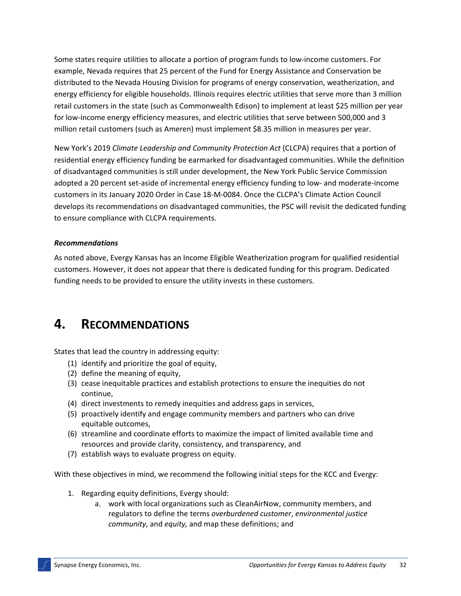Some states require utilities to allocate a portion of program funds to low-income customers. For example, Nevada requires that 25 percent of the Fund for Energy Assistance and Conservation be distributed to the Nevada Housing Division for programs of energy conservation, weatherization, and energy efficiency for eligible households. Illinois requires electric utilities that serve more than 3 million retail customers in the state (such as Commonwealth Edison) to implement at least \$25 million per year for low-income energy efficiency measures, and electric utilities that serve between 500,000 and 3 million retail customers (such as Ameren) must implement \$8.35 million in measures per year.

New York's 2019 *Climate Leadership and Community Protection Act* (CLCPA) requires that a portion of residential energy efficiency funding be earmarked for disadvantaged communities. While the definition of disadvantaged communities is still under development, the New York Public Service Commission adopted a 20 percent set-aside of incremental energy efficiency funding to low- and moderate-income customers in its January 2020 Order in Case 18-M-0084. Once the CLCPA's Climate Action Council develops its recommendations on disadvantaged communities, the PSC will revisit the dedicated funding to ensure compliance with CLCPA requirements.

## *Recommendations*

As noted above, Evergy Kansas has an Income Eligible Weatherization program for qualified residential customers. However, it does not appear that there is dedicated funding for this program. Dedicated funding needs to be provided to ensure the utility invests in these customers.

# **4. RECOMMENDATIONS**

States that lead the country in addressing equity:

- (1) identify and prioritize the goal of equity,
- (2) define the meaning of equity,
- (3) cease inequitable practices and establish protections to ensure the inequities do not continue,
- (4) direct investments to remedy inequities and address gaps in services,
- (5) proactively identify and engage community members and partners who can drive equitable outcomes,
- (6) streamline and coordinate efforts to maximize the impact of limited available time and resources and provide clarity, consistency, and transparency, and
- (7) establish ways to evaluate progress on equity.

With these objectives in mind, we recommend the following initial steps for the KCC and Evergy:

- 1. Regarding equity definitions, Evergy should:
	- a. work with local organizations such as CleanAirNow, community members, and regulators to define the terms *overburdened customer*, *environmental justice community*, and *equity,* and map these definitions; and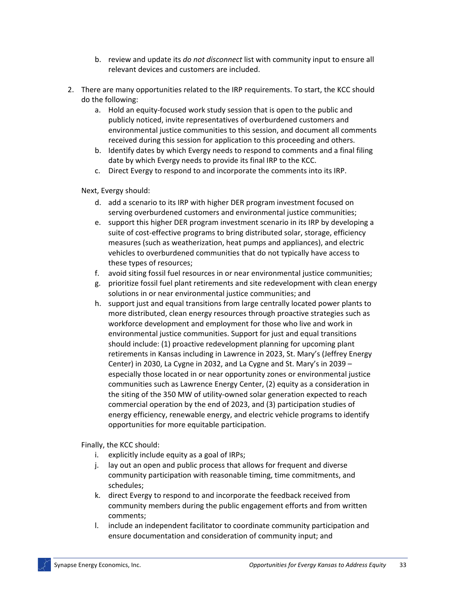- b. review and update its *do not disconnect* list with community input to ensure all relevant devices and customers are included.
- 2. There are many opportunities related to the IRP requirements. To start, the KCC should do the following:
	- a. Hold an equity-focused work study session that is open to the public and publicly noticed, invite representatives of overburdened customers and environmental justice communities to this session, and document all comments received during this session for application to this proceeding and others.
	- b. Identify dates by which Evergy needs to respond to comments and a final filing date by which Evergy needs to provide its final IRP to the KCC.
	- c. Direct Evergy to respond to and incorporate the comments into its IRP.

Next, Evergy should:

- d. add a scenario to its IRP with higher DER program investment focused on serving overburdened customers and environmental justice communities;
- e. support this higher DER program investment scenario in its IRP by developing a suite of cost-effective programs to bring distributed solar, storage, efficiency measures (such as weatherization, heat pumps and appliances), and electric vehicles to overburdened communities that do not typically have access to these types of resources;
- f. avoid siting fossil fuel resources in or near environmental justice communities;
- g. prioritize fossil fuel plant retirements and site redevelopment with clean energy solutions in or near environmental justice communities; and
- h. support just and equal transitions from large centrally located power plants to more distributed, clean energy resources through proactive strategies such as workforce development and employment for those who live and work in environmental justice communities. Support for just and equal transitions should include: (1) proactive redevelopment planning for upcoming plant retirements in Kansas including in Lawrence in 2023, St. Mary's (Jeffrey Energy Center) in 2030, La Cygne in 2032, and La Cygne and St. Mary's in 2039 – especially those located in or near opportunity zones or environmental justice communities such as Lawrence Energy Center, (2) equity as a consideration in the siting of the 350 MW of utility-owned solar generation expected to reach commercial operation by the end of 2023, and (3) participation studies of energy efficiency, renewable energy, and electric vehicle programs to identify opportunities for more equitable participation.

Finally, the KCC should:

- i. explicitly include equity as a goal of IRPs;
- j. lay out an open and public process that allows for frequent and diverse community participation with reasonable timing, time commitments, and schedules;
- k. direct Evergy to respond to and incorporate the feedback received from community members during the public engagement efforts and from written comments;
- l. include an independent facilitator to coordinate community participation and ensure documentation and consideration of community input; and